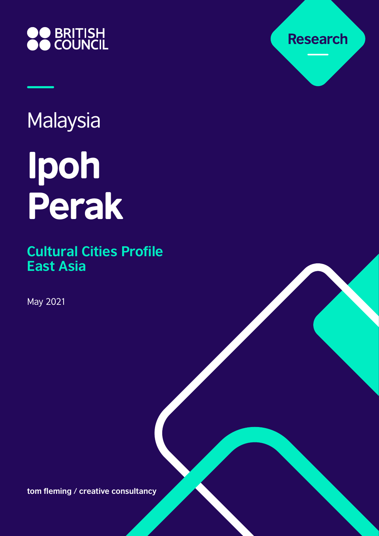

# Malaysia

# Ipoh Perak

**Cultural Cities Profile East Asia**

May 2021

**tom fleming / creative consultancy**

**Research**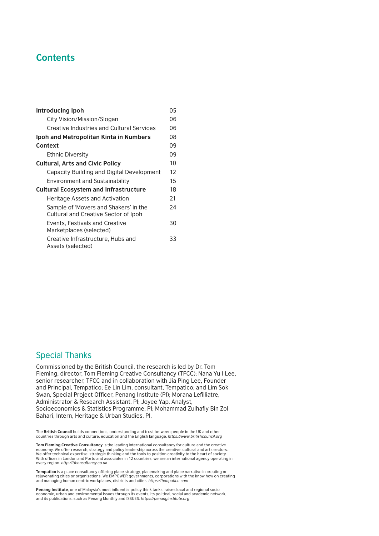# **Contents**

| Introducing Ipoh                                                              | 05 |  |
|-------------------------------------------------------------------------------|----|--|
| City Vision/Mission/Slogan                                                    | 06 |  |
| Creative Industries and Cultural Services                                     |    |  |
| Ipoh and Metropolitan Kinta in Numbers                                        | 08 |  |
| Context                                                                       | 09 |  |
| <b>Ethnic Diversity</b>                                                       | 09 |  |
| <b>Cultural, Arts and Civic Policy</b>                                        | 10 |  |
| Capacity Building and Digital Development                                     | 12 |  |
| <b>Environment and Sustainability</b>                                         | 15 |  |
| <b>Cultural Ecosystem and Infrastructure</b>                                  | 18 |  |
| Heritage Assets and Activation                                                | 21 |  |
| Sample of 'Movers and Shakers' in the<br>Cultural and Creative Sector of Ipoh | 24 |  |
| Events, Festivals and Creative<br>Marketplaces (selected)                     | 30 |  |
| Creative Infrastructure, Hubs and<br>Assets (selected)                        | 33 |  |

# Special Thanks

Commissioned by the British Council, the research is led by Dr. Tom Fleming, director, Tom Fleming Creative Consultancy (TFCC); Nana Yu I Lee, senior researcher, TFCC and in collaboration with Jia Ping Lee, Founder and Principal, Tempatico; Ee Lin Lim, consultant, Tempatico; and Lim Sok Swan, Special Project Officer, Penang Institute (PI); Morana Lefilliatre, Administrator & Research Assistant, PI; Joyee Yap, Analyst, Socioeconomics & Statistics Programme, PI; Mohammad Zulhafiy Bin Zol Bahari, Intern, Heritage & Urban Studies, PI.

The **British Council** builds connections, understanding and trust between people in the UK and other countries through arts and culture, education and the English language. *<https://www.britishcouncil.org>*

**Tom Fleming Creative Consultancy** is the leading international consultancy for culture and the creative economy. We offer research, strategy and policy leadership across the creative, cultural and arts sectors. We offer technical expertise, strategic thinking and the tools to position creativity to the heart of society. With offices in London and Porto and associates in 12 countries, we are an international agency operating in every region. *<http://tfconsultancy.co.uk>*

**Tempatico** is a place consultancy offering place strategy, placemaking and place narrative in creating or<br>rejuvenating cities or organisations. We EMPOWER governments, corporations with the know how on creating<br>and managi

**Penang Institute**, one of Malaysia's most influential policy think tanks, raises local and regional socio economic, urban and environmental issues through its events, its political, social and academic network, and its publications, such as Penang Monthly and ISSUES. *<https://penanginstitute.org>*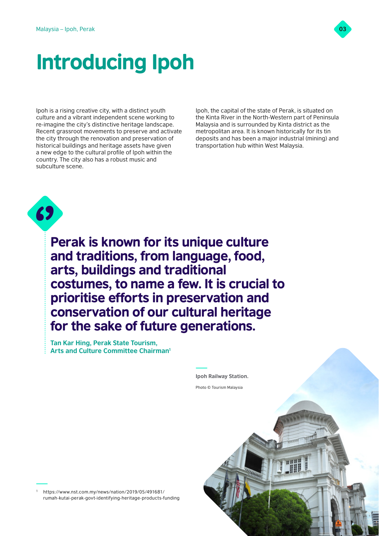

# Introducing Ipoh

Ipoh is a rising creative city, with a distinct youth culture and a vibrant independent scene working to re-imagine the city's distinctive heritage landscape. Recent grassroot movements to preserve and activate the city through the renovation and preservation of historical buildings and heritage assets have given a new edge to the cultural profile of Ipoh within the country. The city also has a robust music and subculture scene.

Ipoh, the capital of the state of Perak, is situated on the Kinta River in the North-Western part of Peninsula Malaysia and is surrounded by Kinta district as the metropolitan area. It is known historically for its tin deposits and has been a major industrial (mining) and transportation hub within West Malaysia.



Perak is known for its unique culture and traditions, from language, food, arts, buildings and traditional costumes, to name a few. It is crucial to prioritise efforts in preservation and conservation of our cultural heritage for the sake of future generations.

**Tan Kar Hing, Perak State Tourism, Arts and Culture Committee Chairman1**



<sup>1</sup> [https://www.nst.com.my/news/nation/2019/05/491681/](https://www.nst.com.my/news/nation/2019/05/491681/rumah-kutai-perak-govt-identifying-heritage-products-funding) [rumah-kutai-perak-govt-identifying-heritage-products-funding](https://www.nst.com.my/news/nation/2019/05/491681/rumah-kutai-perak-govt-identifying-heritage-products-funding)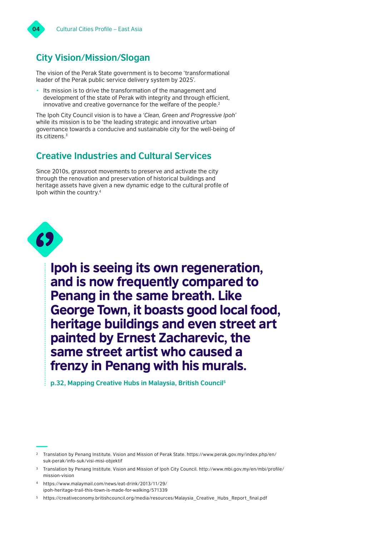

# **City Vision/Mission/Slogan**

The vision of the Perak State government is to become 'transformational leader of the Perak public service delivery system by 2025'.

• Its mission is to drive the transformation of the management and development of the state of Perak with integrity and through efficient, innovative and creative governance for the welfare of the people.2

The Ipoh City Council vision is to have a *'Clean, Green and Progressive Ipoh'* while its mission is to be 'the leading strategic and innovative urban governance towards a conducive and sustainable city for the well-being of its citizens.3

# **Creative Industries and Cultural Services**

Since 2010s, grassroot movements to preserve and activate the city through the renovation and preservation of historical buildings and heritage assets have given a new dynamic edge to the cultural profile of Ipoh within the country.4



Ipoh is seeing its own regeneration, and is now frequently compared to Penang in the same breath. Like George Town, it boasts good local food, heritage buildings and even street art painted by Ernest Zacharevic, the same street artist who caused a frenzy in Penang with his murals.

**p.32, Mapping Creative Hubs in Malaysia, British Council5**

<sup>4</sup> [https://www.malaymail.com/news/eat-drink/2013/11/29/](https://www.malaymail.com/news/eat-drink/2013/11/29/ipoh-heritage-trail-this-town-is-made-for-walking/571339) [ipoh-heritage-trail-this-town-is-made-for-walking/571339](https://www.malaymail.com/news/eat-drink/2013/11/29/ipoh-heritage-trail-this-town-is-made-for-walking/571339)

<sup>2</sup> Translation by Penang Institute. Vision and Mission of Perak State. [https://www.perak.gov.my/index.php/en/](https://www.perak.gov.my/index.php/en/suk-perak/info-suk/visi-misi-objektif
) [suk-perak/info-suk/visi-misi-objektif](https://www.perak.gov.my/index.php/en/suk-perak/info-suk/visi-misi-objektif
)

<sup>3</sup> Translation by Penang Institute. Vision and Mission of Ipoh City Council. [http://www.mbi.gov.my/en/mbi/profile/](http://www.mbi.gov.my/en/mbi/profile/mission-vision) [mission-vision](http://www.mbi.gov.my/en/mbi/profile/mission-vision)

https://creativeconomy.britishcouncil.org/media/resources/Malaysia\_Creative\_Hubs\_Report\_final.pdf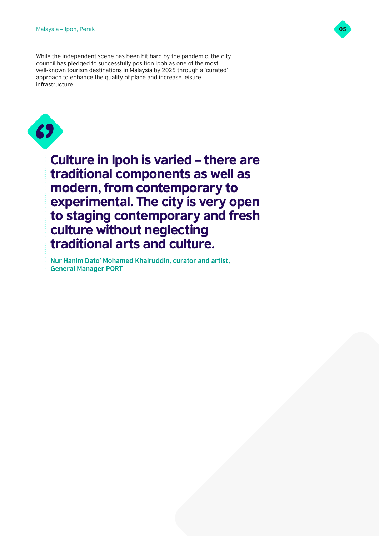While the independent scene has been hit hard by the pandemic, the city council has pledged to successfully position Ipoh as one of the most well-known tourism destinations in Malaysia by 2025 through a 'curated' approach to enhance the quality of place and increase leisure infrastructure.



Culture in Ipoh is varied – there are traditional components as well as modern, from contemporary to experimental. The city is very open to staging contemporary and fresh culture without neglecting traditional arts and culture.

**Nur Hanim Dato' Mohamed Khairuddin, curator and artist, General Manager PORT**

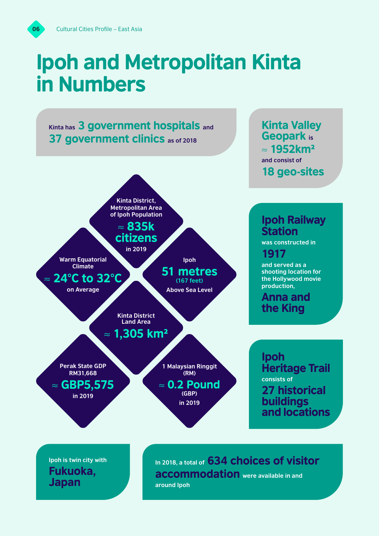# Ipoh and Metropolitan Kinta in Numbers



**Ipoh is twin city with** Fukuoka, Japan

In 2018, a total of 634 choices of visitor accommodation **were available in and around Ipoh**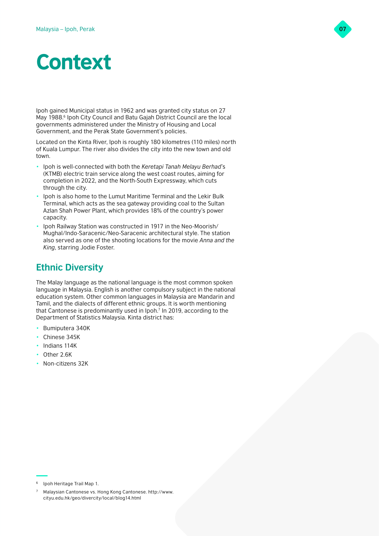

# **Context**

Ipoh gained Municipal status in 1962 and was granted city status on 27 May 1988.<sup>6</sup> Ipoh City Council and Batu Gajah District Council are the local governments administered under the Ministry of Housing and Local Government, and the Perak State Government's policies.

Located on the Kinta River, Ipoh is roughly 180 kilometres (110 miles) north of Kuala Lumpur. The river also divides the city into the new town and old town.

- Ipoh is well-connected with both the *Keretapi Tanah Melayu Berhad*'s (KTMB) electric train service along the west coast routes, aiming for completion in 2022, and the North-South Expressway, which cuts through the city.
- Ipoh is also home to the Lumut Maritime Terminal and the Lekir Bulk Terminal, which acts as the sea gateway providing coal to the Sultan Azlan Shah Power Plant, which provides 18% of the country's power capacity.
- Ipoh Railway Station was constructed in 1917 in the Neo-Moorish/ Mughal/Indo-Saracenic/Neo-Saracenic architectural style. The station also served as one of the shooting locations for the movie *Anna and the King*, starring Jodie Foster.

# **Ethnic Diversity**

The Malay language as the national language is the most common spoken language in Malaysia. English is another compulsory subject in the national education system. Other common languages in Malaysia are Mandarin and Tamil, and the dialects of different ethnic groups. It is worth mentioning that Cantonese is predominantly used in Ipoh.7 In 2019, according to the Department of Statistics Malaysia. Kinta district has:

- Bumiputera 340K
- Chinese 345K
- Indians 114K
- Other 2.6K
- Non-citizens 32K

Ipoh Heritage Trail Map 1.

<sup>7</sup> Malaysian Cantonese vs. Hong Kong Cantonese. [http://www.](http://www.cityu.edu.hk/geo/divercity/local/blog14.html) [cityu.edu.hk/geo/divercity/local/blog14.html](http://www.cityu.edu.hk/geo/divercity/local/blog14.html)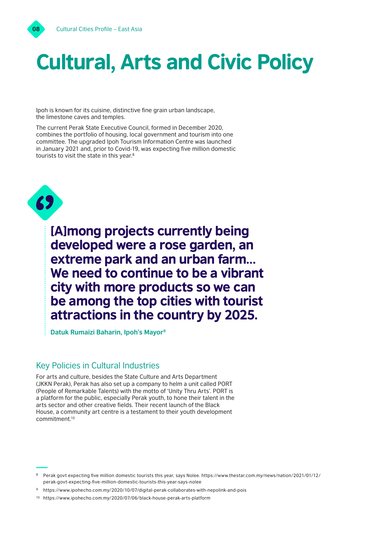

# Cultural, Arts and Civic Policy

Ipoh is known for its cuisine, distinctive fine grain urban landscape, the limestone caves and temples.

The current Perak State Executive Council, formed in December 2020, combines the portfolio of housing, local government and tourism into one committee. The upgraded Ipoh Tourism Information Centre was launched in January 2021 and, prior to Covid-19, was expecting five million domestic tourists to visit the state in this year.<sup>8</sup>



[A]mong projects currently being developed were a rose garden, an extreme park and an urban farm… We need to continue to be a vibrant city with more products so we can be among the top cities with tourist attractions in the country by 2025.

**Datuk Rumaizi Baharin, Ipoh's Mayor9**

# Key Policies in Cultural Industries

For arts and culture, besides the State Culture and Arts Department (JKKN Perak), Perak has also set up a company to helm a unit called PORT (People of Remarkable Talents) with the motto of 'Unity Thru Arts'. PORT is a platform for the public, especially Perak youth, to hone their talent in the arts sector and other creative fields. Their recent launch of the Black House, a community art centre is a testament to their youth development commitment.10

<sup>8</sup> Perak govt expecting five million domestic tourists this year, says Nolee. [https://www.thestar.com.my/news/nation/2021/01/12/](https://www.thestar.com.my/news/nation/2021/01/12/perak-govt-expecting-five-million-domestic-tourists-this-year-says-nolee) [perak-govt-expecting-five-million-domestic-tourists-this-year-says-nolee](https://www.thestar.com.my/news/nation/2021/01/12/perak-govt-expecting-five-million-domestic-tourists-this-year-says-nolee)

<sup>9</sup> [https://www.ipohecho.com.my/2020/10/07/digital-perak-collaborates-with-nepolink-and-pois](https://www.ipohecho.com.my/2020/10/07/digital-perak-collaborates-with-nepolink-and-pois
)

<sup>10</sup> [https://www.ipohecho.com.my/2020/07/06/black-house-perak-arts-platform](https://www.ipohecho.com.my/2020/07/06/black-house-perak-arts-platform
)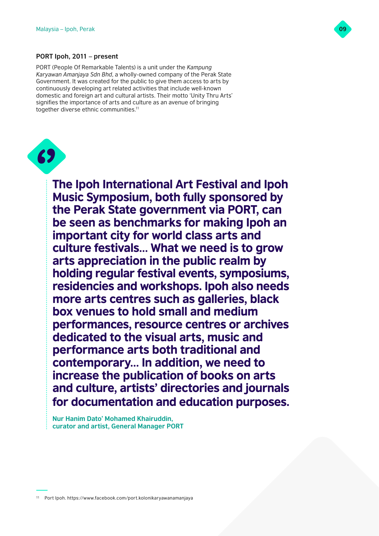

### **PORT Ipoh, 2011 – present**

PORT (People Of Remarkable Talents) is a unit under the *Kampung Karyawan Amanjaya Sdn Bhd*, a wholly-owned company of the Perak State Government. It was created for the public to give them access to arts by continuously developing art related activities that include well-known domestic and foreign art and cultural artists. Their motto 'Unity Thru Arts' signifies the importance of arts and culture as an avenue of bringing together diverse ethnic communities.<sup>11</sup>



The Ipoh International Art Festival and Ipoh Music Symposium, both fully sponsored by the Perak State government via PORT, can be seen as benchmarks for making Ipoh an important city for world class arts and culture festivals… What we need is to grow arts appreciation in the public realm by holding regular festival events, symposiums, residencies and workshops. Ipoh also needs more arts centres such as galleries, black box venues to hold small and medium performances, resource centres or archives dedicated to the visual arts, music and performance arts both traditional and contemporary… In addition, we need to increase the publication of books on arts and culture, artists' directories and journals for documentation and education purposes.

**Nur Hanim Dato' Mohamed Khairuddin, curator and artist, General Manager PORT**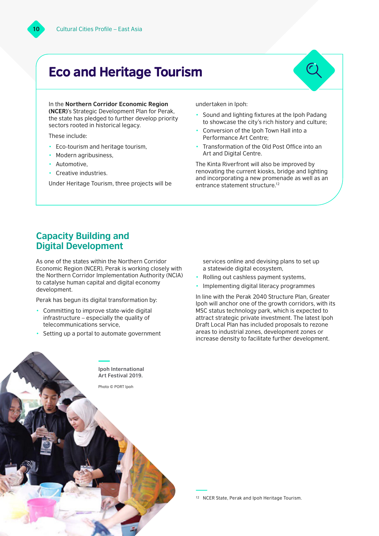# Eco and Heritage Tourism

In the **Northern Corridor Economic Region (NCER)**'s Strategic Development Plan for Perak, the state has pledged to further develop priority sectors rooted in historical legacy.

These include:

- Eco-tourism and heritage tourism,
- Modern agribusiness,
- Automotive.
- Creative industries.

Under Heritage Tourism, three projects will be

undertaken in Ipoh:

- Sound and lighting fixtures at the Ipoh Padang to showcase the city's rich history and culture;
- Conversion of the Ipoh Town Hall into a Performance Art Centre;
- Transformation of the Old Post Office into an Art and Digital Centre.

The Kinta Riverfront will also be improved by renovating the current kiosks, bridge and lighting and incorporating a new promenade as well as an entrance statement structure.12

# **Capacity Building and Digital Development**

As one of the states within the Northern Corridor Economic Region (NCER), Perak is working closely with the Northern Corridor Implementation Authority (NCIA) to catalyse human capital and digital economy development.

Perak has begun its digital transformation by:

- Committing to improve state-wide digital infrastructure – especially the quality of telecommunications service,
- Setting up a portal to automate government

**Ipoh International Art Festival 2019.** Photo © PORT Ipoh

services online and devising plans to set up a statewide digital ecosystem,

- Rolling out cashless payment systems,
- Implementing digital literacy programmes

In line with the Perak 2040 Structure Plan, Greater Ipoh will anchor one of the growth corridors, with its MSC status technology park, which is expected to attract strategic private investment. The latest Ipoh Draft Local Plan has included proposals to rezone areas to industrial zones, development zones or increase density to facilitate further development.

<sup>12</sup> NCER State, Perak and Ipoh Heritage Tourism.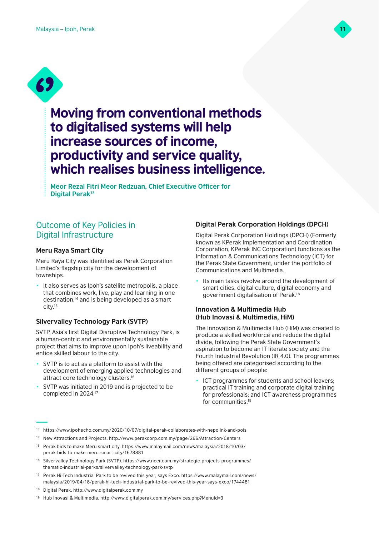



# Moving from conventional methods to digitalised systems will help increase sources of income, productivity and service quality, which realises business intelligence.

**Meor Rezal Fitri Meor Redzuan, Chief Executive Officer for Digital Perak13**

# Outcome of Key Policies in Digital Infrastructure

### **Meru Raya Smart City**

Meru Raya City was identified as Perak Corporation Limited's flagship city for the development of townships.

It also serves as Ipoh's satellite metropolis, a place that combines work, live, play and learning in one destination,14 and is being developed as a smart city.15

# **Silvervalley Technology Park (SVTP)**

SVTP, Asia's first Digital Disruptive Technology Park, is a human-centric and environmentally sustainable project that aims to improve upon Ipoh's liveability and entice skilled labour to the city.

- SVTP is to act as a platform to assist with the development of emerging applied technologies and attract core technology clusters.<sup>16</sup>
- SVTP was initiated in 2019 and is projected to be completed in 2024.17

# **Digital Perak Corporation Holdings (DPCH)**

Digital Perak Corporation Holdings (DPCH) (Formerly known as KPerak Implementation and Coordination Corporation, KPerak INC Corporation) functions as the Information & Communications Technology (ICT) for the Perak State Government, under the portfolio of Communications and Multimedia.

Its main tasks revolve around the development of smart cities, digital culture, digital economy and government digitalisation of Perak.18

### **Innovation & Multimedia Hub (Hub Inovasi & Multimedia, HiM)**

The Innovation & Multimedia Hub (HiM) was created to produce a skilled workforce and reduce the digital divide, following the Perak State Government's aspiration to become an IT literate society and the Fourth Industrial Revolution (IR 4.0). The programmes being offered are categorised according to the different groups of people:

- ICT programmes for students and school leavers; practical IT training and corporate digital training for professionals; and ICT awareness programmes for communities.19
- <sup>13</sup> [https://www.ipohecho.com.my/2020/10/07/digital-perak-collaborates-with-nepolink-and-pois](https://www.ipohecho.com.my/2020/10/07/digital-perak-collaborates-with-nepolink-and-pois
)
- <sup>14</sup> New Attractions and Projects.<http://www.perakcorp.com.my/page/266/Attraction-Centers>
- <sup>15</sup> Perak bids to make Meru smart city. [https://www.malaymail.com/news/malaysia/2018/10/03/](https://www.malaymail.com/news/malaysia/2018/10/03/perak-bids-to-make-meru-smart-city/1678881) [perak-bids-to-make-meru-smart-city/1678881](https://www.malaymail.com/news/malaysia/2018/10/03/perak-bids-to-make-meru-smart-city/1678881)
- <sup>16</sup> Silvervalley Technology Park (SVTP). [https://www.ncer.com.my/strategic-projects-programmes/](https://www.ncer.com.my/strategic-projects-programmes/thematic-industrial-parks/silvervalley-technology-park-svtp) [thematic-industrial-parks/silvervalley-technology-park-svtp](https://www.ncer.com.my/strategic-projects-programmes/thematic-industrial-parks/silvervalley-technology-park-svtp)
- <sup>17</sup> Perak Hi-Tech Industrial Park to be revived this year, says Exco. [https://www.malaymail.com/news/](https://www.malaymail.com/news/malaysia/2019/04/18/perak-hi-tech-industrial-park-to-be-revived-this-year-says-exco/1744481) [malaysia/2019/04/18/perak-hi-tech-industrial-park-to-be-revived-this-year-says-exco/1744481](https://www.malaymail.com/news/malaysia/2019/04/18/perak-hi-tech-industrial-park-to-be-revived-this-year-says-exco/1744481)
- <sup>18</sup> Digital Perak.<http://www.digitalperak.com.my>
- <sup>19</sup> Hub Inovasi & Multimedia. <http://www.digitalperak.com.my/services.php?MenuId=3>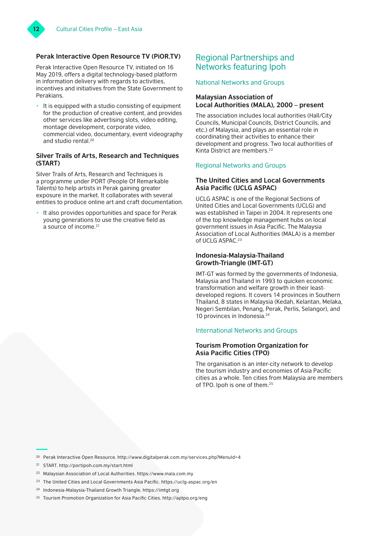# **Perak Interactive Open Resource TV (PiOR.TV)**

Perak Interactive Open Resource TV, initiated on 16 May 2019, offers a digital technology-based platform in information delivery with regards to activities, incentives and initiatives from the State Government to Perakians.

• It is equipped with a studio consisting of equipment for the production of creative content, and provides other services like advertising slots, video editing, montage development, corporate video, commercial video, documentary, event videography and studio rental.20

# **Silver Trails of Arts, Research and Techniques (START)**

Silver Trails of Arts, Research and Techniques is a programme under PORT (People Of Remarkable Talents) to help artists in Perak gaining greater exposure in the market. It collaborates with several entities to produce online art and craft documentation.

It also provides opportunities and space for Perak young generations to use the creative field as a source of income.21

# Regional Partnerships and Networks featuring Ipoh

### National Networks and Groups

### **Malaysian Association of Local Authorities (MALA), 2000 – present**

The association includes local authorities (Hall/City Councils, Municipal Councils, District Councils, and etc.) of Malaysia, and plays an essential role in coordinating their activities to enhance their development and progress. Two local authorities of Kinta District are members.22

# Regional Networks and Groups

# **The United Cities and Local Governments Asia Pacific (UCLG ASPAC)**

UCLG ASPAC is one of the Regional Sections of United Cities and Local Governments (UCLG) and was established in Taipei in 2004. It represents one of the top knowledge management hubs on local government issues in Asia Pacific. The Malaysia Association of Local Authorities (MALA) is a member of UCLG ASPAC.<sup>23</sup>

# **Indonesia-Malaysia-Thailand Growth-Triangle (IMT-GT)**

IMT-GT was formed by the governments of Indonesia, Malaysia and Thailand in 1993 to quicken economic transformation and welfare growth in their leastdeveloped regions. It covers 14 provinces in Southern Thailand, 8 states in Malaysia (Kedah, Kelantan, Melaka, Negeri Sembilan, Penang, Perak, Perlis, Selangor), and 10 provinces in Indonesia.24

# International Networks and Groups

# **Tourism Promotion Organization for Asia Pacific Cities (TPO)**

The organisation is an inter-city network to develop the tourism industry and economies of Asia Pacific cities as a whole. Ten cities from Malaysia are members of TPO. Ipoh is one of them.25

<sup>23</sup> The United Cities and Local Governments Asia Pacific.<https://uclg-aspac.org/en>

<sup>20</sup> Perak Interactive Open Resource. <http://www.digitalperak.com.my/services.php?MenuId=4>

<sup>21</sup> START. <http://portipoh.com.my/start.html>

<sup>22</sup> Malaysian Association of Local Authorities.<https://www.mala.com.my>

<sup>24</sup> Indonesia-Malaysia-Thailand Growth Triangle.<https://imtgt.org>

<sup>25</sup> Tourism Promotion Organization for Asia Pacific Cities.<http://aptpo.org/eng>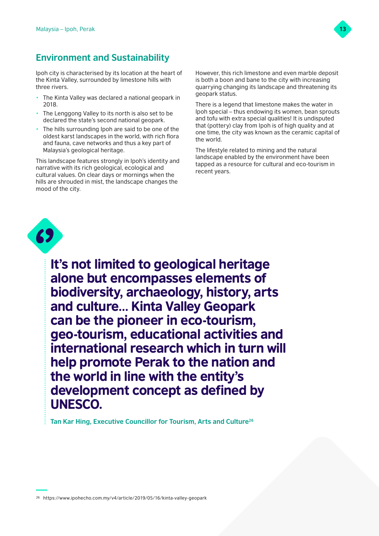

# **Environment and Sustainability**

Ipoh city is characterised by its location at the heart of the Kinta Valley, surrounded by limestone hills with three rivers.

- The Kinta Valley was declared a national geopark in 2018.
- The Lenggong Valley to its north is also set to be declared the state's second national geopark.
- The hills surrounding Ipoh are said to be one of the oldest karst landscapes in the world, with rich flora and fauna, cave networks and thus a key part of Malaysia's geological heritage.

This landscape features strongly in Ipoh's identity and narrative with its rich geological, ecological and cultural values. On clear days or mornings when the hills are shrouded in mist, the landscape changes the mood of the city.

However, this rich limestone and even marble deposit is both a boon and bane to the city with increasing quarrying changing its landscape and threatening its geopark status.

There is a legend that limestone makes the water in Ipoh special – thus endowing its women, bean sprouts and tofu with extra special qualities! It is undisputed that (pottery) clay from Ipoh is of high quality and at one time, the city was known as the ceramic capital of the world.

The lifestyle related to mining and the natural landscape enabled by the environment have been tapped as a resource for cultural and eco-tourism in recent years.



It's not limited to geological heritage alone but encompasses elements of biodiversity, archaeology, history, arts and culture… Kinta Valley Geopark can be the pioneer in eco-tourism, geo-tourism, educational activities and international research which in turn will help promote Perak to the nation and the world in line with the entity's development concept as defined by UNESCO.

**Tan Kar Hing, Executive Councillor for Tourism, Arts and Culture26**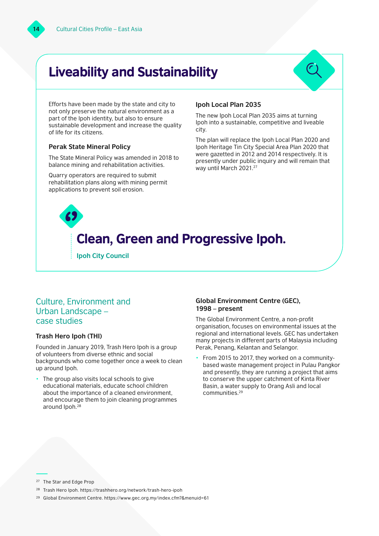# Liveability and Sustainability



Efforts have been made by the state and city to not only preserve the natural environment as a part of the Ipoh identity, but also to ensure sustainable development and increase the quality of life for its citizens.

### **Perak State Mineral Policy**

The State Mineral Policy was amended in 2018 to balance mining and rehabilitation activities.

Quarry operators are required to submit rehabilitation plans along with mining permit applications to prevent soil erosion.

### **Ipoh Local Plan 2035**

The new Ipoh Local Plan 2035 aims at turning Ipoh into a sustainable, competitive and liveable city.

The plan will replace the Ipoh Local Plan 2020 and Ipoh Heritage Tin City Special Area Plan 2020 that were gazetted in 2012 and 2014 respectively. It is presently under public inquiry and will remain that way until March 2021.<sup>27</sup>

# Clean, Green and Progressive Ipoh.

**Ipoh City Council**

# Culture, Environment and Urban Landscape – case studies

# **Trash Hero Ipoh (THI)**

Founded in January 2019, Trash Hero Ipoh is a group of volunteers from diverse ethnic and social backgrounds who come together once a week to clean up around Ipoh.

The group also visits local schools to give educational materials, educate school children about the importance of a cleaned environment, and encourage them to join cleaning programmes around Ipoh.28

# **Global Environment Centre (GEC), 1998 – present**

The Global Environment Centre, a non-profit organisation, focuses on environmental issues at the regional and international levels. GEC has undertaken many projects in different parts of Malaysia including Perak, Penang, Kelantan and Selangor.

• From 2015 to 2017, they worked on a communitybased waste management project in Pulau Pangkor and presently, they are running a project that aims to conserve the upper catchment of Kinta River Basin, a water supply to Orang Asli and local communities.29

<sup>27</sup> The Star and Edge Prop

- <sup>28</sup> Trash Hero Ipoh. <https://trashhero.org/network/trash-hero-ipoh>
- <sup>29</sup> Global Environment Centre. <https://www.gec.org.my/index.cfm?&menuid=61>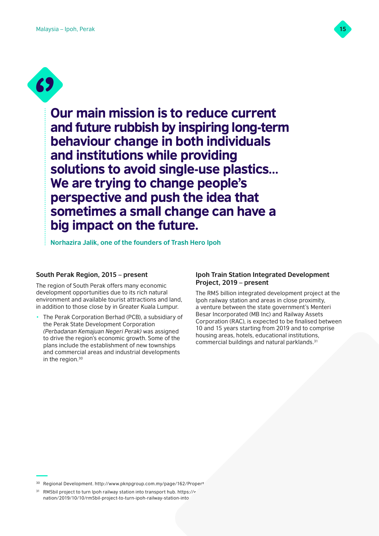

**69** 

Our main mission is to reduce current and future rubbish by inspiring long-term behaviour change in both individuals and institutions while providing solutions to avoid single-use plastics… We are trying to change people's perspective and push the idea that sometimes a small change can have a big impact on the future.

**Norhazira Jalik, one of the founders of Trash Hero Ipoh**

# **South Perak Region, 2015 – present**

The region of South Perak offers many economic development opportunities due to its rich natural environment and available tourist attractions and land, in addition to those close by in Greater Kuala Lumpur.

• The Perak Corporation Berhad (PCB), a subsidiary of the Perak State Development Corporation *(Perbadanan Kemajuan Negeri Perak)* was assigned to drive the region's economic growth. Some of the plans include the establishment of new townships and commercial areas and industrial developments in the region.30

# **Ipoh Train Station Integrated Development Project, 2019 – present**

The RM5 billion integrated development project at the Ipoh railway station and areas in close proximity, a venture between the state government's Menteri Besar Incorporated (MB Inc) and Railway Assets Corporation (RAC), is expected to be finalised between 10 and 15 years starting from 2019 and to comprise housing areas, hotels, educational institutions, commercial buildings and natural parklands.31

<sup>30</sup> Regional Development. http://www.pknpgroup.com.my/page/162/Propert

<sup>&</sup>lt;sup>31</sup> RM5bil project to turn lpoh railway station into transport hub. https://v nation/2019/10/10/rm5bil-project-to-turn-ipoh-railway-station-into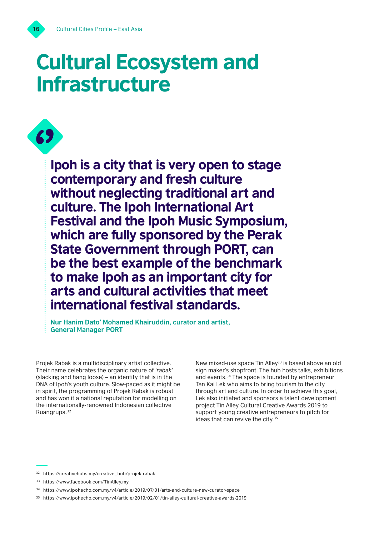

# Cultural Ecosystem and Infrastructure

Ipoh is a city that is very open to stage contemporary and fresh culture without neglecting traditional art and culture. The Ipoh International Art Festival and the Ipoh Music Symposium, which are fully sponsored by the Perak State Government through PORT, can be the best example of the benchmark to make Ipoh as an important city for arts and cultural activities that meet international festival standards. **69** 

**Nur Hanim Dato' Mohamed Khairuddin, curator and artist, General Manager PORT**

Projek Rabak is a multidisciplinary artist collective. Their name celebrates the organic nature of *'rabak'* (slacking and hang loose) – an identity that is in the DNA of Ipoh's youth culture. Slow-paced as it might be in spirit, the programming of Projek Rabak is robust and has won it a national reputation for modelling on the internationally-renowned Indonesian collective Ruangrupa.32

New mixed-use space Tin Alley<sup>33</sup> is based above an old sign maker's shopfront. The hub hosts talks, exhibitions and events.34 The space is founded by entrepreneur Tan Kai Lek who aims to bring tourism to the city through art and culture. In order to achieve this goal, Lek also initiated and sponsors a talent development project Tin Alley Cultural Creative Awards 2019 to support young creative entrepreneurs to pitch for ideas that can revive the city.<sup>35</sup>

<sup>32</sup> [https://creativehubs.my/creative\\_hub/projek-rabak](https://creativehubs.my/creative_hub/projek-rabak ) 

<sup>33</sup> [https://www.facebook.com/TinAlley.my](https://www.facebook.com/TinAlley.my 
) 

<sup>34</sup> [https://www.ipohecho.com.my/v4/article/2019/07/01/arts-and-culture-new-curator-space](https://www.ipohecho.com.my/v4/article/2019/07/01/arts-and-culture-new-curator-space 
) 

<sup>35</sup> [https://www.ipohecho.com.my/v4/article/2019/02/01/tin-alley-cultural-creative-awards-2019](https://www.ipohecho.com.my/v4/article/2019/02/01/tin-alley-cultural-creative-awards-2019 
)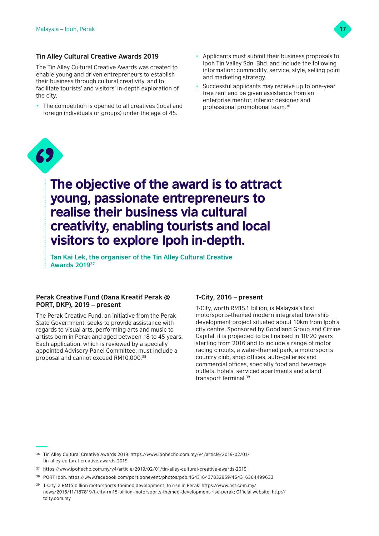

# **Tin Alley Cultural Creative Awards 2019**

The Tin Alley Cultural Creative Awards was created to enable young and driven entrepreneurs to establish their business through cultural creativity, and to facilitate tourists' and visitors' in-depth exploration of the city.

- The competition is opened to all creatives (local and foreign individuals or groups) under the age of 45.
- Applicants must submit their business proposals to Ipoh Tin Valley Sdn. Bhd. and include the following information: commodity, service, style, selling point and marketing strategy.
- Successful applicants may receive up to one-year free rent and be given assistance from an enterprise mentor, interior designer and professional promotional team.36



# The objective of the award is to attract young, passionate entrepreneurs to realise their business via cultural creativity, enabling tourists and local visitors to explore Ipoh in-depth.

**Tan Kai Lek, the organiser of the Tin Alley Cultural Creative Awards 201937**

# **Perak Creative Fund (Dana Kreatif Perak @ PORT, DKP), 2019 – present**

The Perak Creative Fund, an initiative from the Perak State Government, seeks to provide assistance with regards to visual arts, performing arts and music to artists born in Perak and aged between 18 to 45 years. Each application, which is reviewed by a specially appointed Advisory Panel Committee, must include a proposal and cannot exceed RM10,000.38

# **T-City, 2016 – present**

T-City, worth RM15.1 billion, is Malaysia's first motorsports-themed modern integrated township development project situated about 10km from Ipoh's city centre. Sponsored by Goodland Group and Citrine Capital, it is projected to be finalised in 10/20 years starting from 2016 and to include a range of motor racing circuits, a water-themed park, a motorsports country club, shop offices, auto-galleries and commercial offices, specialty food and beverage outlets, hotels, serviced apartments and a land transport terminal.39

- <sup>37</sup> [https://www.ipohecho.com.my/v4/article/2019/02/01/tin-alley-cultural-creative-awards-2019](https://www.ipohecho.com.my/v4/article/2019/02/01/tin-alley-cultural-creative-awards-2019
)
- <sup>38</sup> PORT Ipoh. <https://www.facebook.com/portipohevent/photos/pcb.464316437832959/464316364499633>
- <sup>39</sup> T-City, a RM15 billion motorsports-themed development, to rise in Perak. [https://www.nst.com.my/](https://www.nst.com.my/news/2016/11/187819/t-city-rm15-billion-motorsports-themed-development-rise-perak) [news/2016/11/187819/t-city-rm15-billion-motorsports-themed-development-rise-perak;](https://www.nst.com.my/news/2016/11/187819/t-city-rm15-billion-motorsports-themed-development-rise-perak) Official website: [http://](http://tcity.com.my) [tcity.com.my](http://tcity.com.my)

<sup>36</sup> Tin Alley Cultural Creative Awards 2019. [https://www.ipohecho.com.my/v4/article/2019/02/01/](https://www.ipohecho.com.my/v4/article/2019/02/01/tin-alley-cultural-creative-awards-2019) [tin-alley-cultural-creative-awards-2019](https://www.ipohecho.com.my/v4/article/2019/02/01/tin-alley-cultural-creative-awards-2019)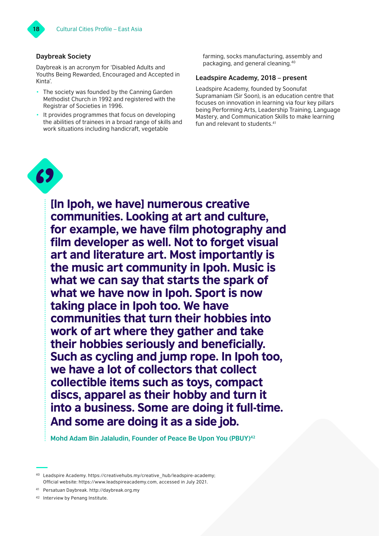# **Daybreak Society**

Daybreak is an acronym for 'Disabled Adults and Youths Being Rewarded, Encouraged and Accepted in Kinta'.

- The society was founded by the Canning Garden Methodist Church in 1992 and registered with the Registrar of Societies in 1996.
- It provides programmes that focus on developing the abilities of trainees in a broad range of skills and work situations including handicraft, vegetable

farming, socks manufacturing, assembly and packaging, and general cleaning.40

# **Leadspire Academy, 2018 – present**

Leadspire Academy, founded by Soonufat Supramaniam (Sir Soon), is an education centre that focuses on innovation in learning via four key pillars being Performing Arts, Leadership Training, Language Mastery, and Communication Skills to make learning fun and relevant to students.<sup>41</sup>



[In Ipoh, we have] numerous creative communities. Looking at art and culture, for example, we have film photography and film developer as well. Not to forget visual art and literature art. Most importantly is the music art community in Ipoh. Music is what we can say that starts the spark of what we have now in Ipoh. Sport is now taking place in Ipoh too. We have communities that turn their hobbies into work of art where they gather and take their hobbies seriously and beneficially. Such as cycling and jump rope. In Ipoh too, we have a lot of collectors that collect collectible items such as toys, compact discs, apparel as their hobby and turn it into a business. Some are doing it full-time. And some are doing it as a side job.

**Mohd Adam Bin Jalaludin, Founder of Peace Be Upon You (PBUY)42**

<sup>40</sup> Leadspire Academy. [https://creativehubs.my/creative\\_hub/leadspire-academy;](https://creativehubs.my/creative_hub/leadspire-academy) Official website: <https://www.leadspireacademy.com>, accessed in July 2021.

<sup>41</sup> Persatuan Daybreak. <http://daybreak.org.my>

<sup>42</sup> Interview by Penang Institute.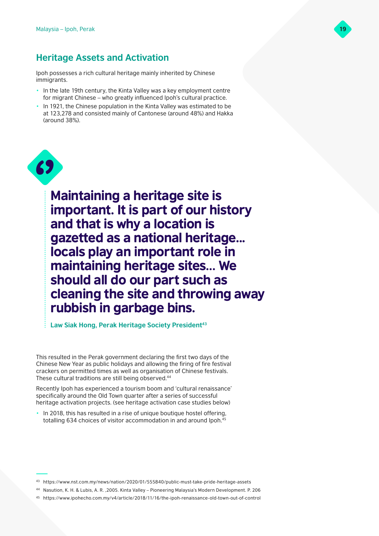# **Heritage Assets and Activation**

Ipoh possesses a rich cultural heritage mainly inherited by Chinese immigrants.

- In the late 19th century, the Kinta Valley was a key employment centre for migrant Chinese – who greatly influenced Ipoh's cultural practice.
- In 1921, the Chinese population in the Kinta Valley was estimated to be at 123,278 and consisted mainly of Cantonese (around 48%) and Hakka (around 38%).



Maintaining a heritage site is important. It is part of our history and that is why a location is gazetted as a national heritage... locals play an important role in maintaining heritage sites… We should all do our part such as cleaning the site and throwing away rubbish in garbage bins.

Law Siak Hong, Perak Heritage Society President<sup>43</sup>

This resulted in the Perak government declaring the first two days of the Chinese New Year as public holidays and allowing the firing of fire festival crackers on permitted times as well as organisation of Chinese festivals. These cultural traditions are still being observed.<sup>44</sup>

Recently Ipoh has experienced a tourism boom and 'cultural renaissance' specifically around the Old Town quarter after a series of successful heritage activation projects. (see heritage activation case studies below)

In 2018, this has resulted in a rise of unique boutique hostel offering, totalling 634 choices of visitor accommodation in and around Ipoh.<sup>45</sup>

<sup>43</sup> [https://www.nst.com.my/news/nation/2020/01/555840/public-must-take-pride-heritage-assets](https://www.nst.com.my/news/nation/2020/01/555840/public-must-take-pride-heritage-assets ) 

<sup>44</sup> Nasution, K. H. & Lubis, A. R. ,2005. Kinta Valley – Pioneering Malaysia's Modern Development. P. 206

<sup>45</sup> <https://www.ipohecho.com.my/v4/article/2018/11/16/the-ipoh-renaissance-old-town-out-of-control>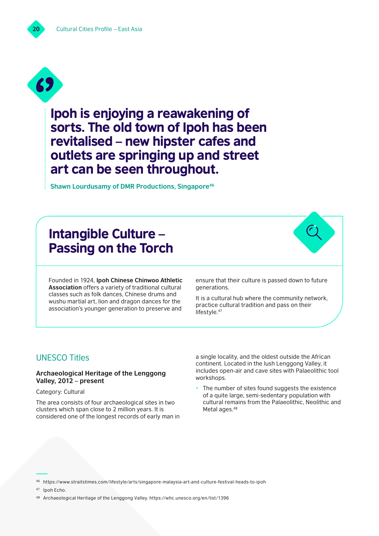

Ipoh is enjoying a reawakening of sorts. The old town of Ipoh has been revitalised – new hipster cafes and outlets are springing up and street art can be seen throughout.

**Shawn Lourdusamy of DMR Productions, Singapore46**

# Intangible Culture – Passing on the Torch

Founded in 1924, **Ipoh Chinese Chinwoo Athletic Association** offers a variety of traditional cultural classes such as folk dances, Chinese drums and wushu martial art, lion and dragon dances for the association's younger generation to preserve and

ensure that their culture is passed down to future generations.

It is a cultural hub where the community network, practice cultural tradition and pass on their lifestyle.<sup>47</sup>

# UNESCO Titles

# **Archaeological Heritage of the Lenggong Valley, 2012 – present**

Category: Cultural

The area consists of four archaeological sites in two clusters which span close to 2 million years. It is considered one of the longest records of early man in a single locality, and the oldest outside the African continent. Located in the lush Lenggong Valley, it includes open-air and cave sites with Palaeolithic tool workshops.

The number of sites found suggests the existence of a quite large, semi-sedentary population with cultural remains from the Palaeolithic, Neolithic and Metal ages.<sup>48</sup>

<sup>46</sup> <https://www.straitstimes.com/lifestyle/arts/singapore-malaysia-art-and-culture-festival-heads-to-ipoh>

<sup>47</sup> [Ipoh Echo.](https://www.straitstimes.com/lifestyle/arts/singapore-malaysia-art-and-culture-festival-heads-to-ipoh)

<sup>48</sup> Archaeological Heritage of the Lenggong Valley. <https://whc.unesco.org/en/list/1396>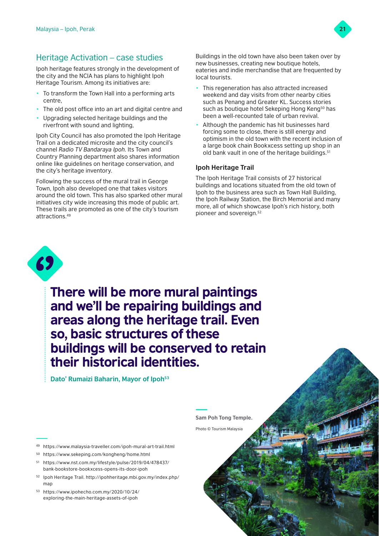

# Heritage Activation – case studies

Ipoh heritage features strongly in the development of the city and the NCIA has plans to highlight Ipoh Heritage Tourism. Among its initiatives are:

- To transform the Town Hall into a performing arts centre,
- The old post office into an art and digital centre and
- Upgrading selected heritage buildings and the riverfront with sound and lighting,

Ipoh City Council has also promoted the Ipoh Heritage Trail on a dedicated microsite and the city council's channel *Radio TV Bandaraya Ipoh*. Its Town and Country Planning department also shares information online like guidelines on heritage conservation, and the city's heritage inventory.

Following the success of the mural trail in George Town, Ipoh also developed one that takes visitors around the old town. This has also sparked other mural initiatives city wide increasing this mode of public art. These trails are promoted as one of the city's tourism attractions.49

Buildings in the old town have also been taken over by new businesses, creating new boutique hotels, eateries and indie merchandise that are frequented by local tourists.

- This regeneration has also attracted increased weekend and day visits from other nearby cities such as Penang and Greater KL. Success stories such as boutique hotel Sekeping Hong Keng<sup>50</sup> has been a well-recounted tale of urban revival.
- Although the pandemic has hit businesses hard forcing some to close, there is still energy and optimism in the old town with the recent inclusion of a large book chain Bookxcess setting up shop in an old bank vault in one of the heritage buildings.51

# **Ipoh Heritage Trail**

The Ipoh Heritage Trail consists of 27 historical buildings and locations situated from the old town of Ipoh to the business area such as Town Hall Building, the Ipoh Railway Station, the Birch Memorial and many more, all of which showcase Ipoh's rich history, both pioneer and sovereign.52



There will be more mural paintings and we'll be repairing buildings and areas along the heritage trail. Even so, basic structures of these buildings will be conserved to retain their historical identities.

**Dato' Rumaizi Baharin, Mayor of Ipoh53**

- <sup>49</sup> <https://www.malaysia-traveller.com/ipoh-mural-art-trail.html>
- <sup>50</sup> <https://www.sekeping.com/kongheng/home.html>
- <sup>51</sup> [https://www.nst.com.my/lifestyle/pulse/2019/04/478437/](https://www.nst.com.my/lifestyle/pulse/2019/04/478437/bank-bookstore-bookxcess-opens-its-door-ipoh) [bank-bookstore-bookxcess-opens-its-door-ipoh](https://www.nst.com.my/lifestyle/pulse/2019/04/478437/bank-bookstore-bookxcess-opens-its-door-ipoh)
- <sup>52</sup> Ipoh Heritage Trail. [http://ipohheritage.mbi.gov.my/index.php/](http://ipohheritage.mbi.gov.my/index.php/map) [map](http://ipohheritage.mbi.gov.my/index.php/map)
- <sup>53</sup> [https://www.ipohecho.com.my/2020/10/24/](https://www.ipohecho.com.my/2020/10/24/exploring-the-main-heritage-assets-of-ipoh) [exploring-the-main-heritage-assets-of-ipoh](https://www.ipohecho.com.my/2020/10/24/exploring-the-main-heritage-assets-of-ipoh)

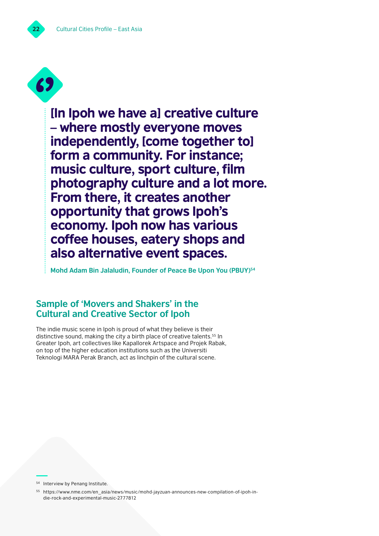

[In Ipoh we have a] creative culture – where mostly everyone moves independently, [come together to] form a community. For instance; music culture, sport culture, film photography culture and a lot more. From there, it creates another opportunity that grows Ipoh's economy. Ipoh now has various coffee houses, eatery shops and also alternative event spaces.

**Mohd Adam Bin Jalaludin, Founder of Peace Be Upon You (PBUY)54**

# **Sample of 'Movers and Shakers' in the Cultural and Creative Sector of Ipoh**

The indie music scene in Ipoh is proud of what they believe is their distinctive sound, making the city a birth place of creative talents.<sup>55</sup> In Greater Ipoh, art collectives like Kapallorek Artspace and Projek Rabak, on top of the higher education institutions such as the Universiti Teknologi MARA Perak Branch, act as linchpin of the cultural scene.

<sup>54</sup> Interview by Penang Institute.

<sup>55</sup> [https://www.nme.com/en\\_asia/news/music/mohd-jayzuan-announces-new-compilation-of-ipoh-in](https://www.nme.com/en_asia/news/music/mohd-jayzuan-announces-new-compilation-of-ipoh-indie-rock-and-experimental-music-2777812)[die-rock-and-experimental-music-2777812](https://www.nme.com/en_asia/news/music/mohd-jayzuan-announces-new-compilation-of-ipoh-indie-rock-and-experimental-music-2777812)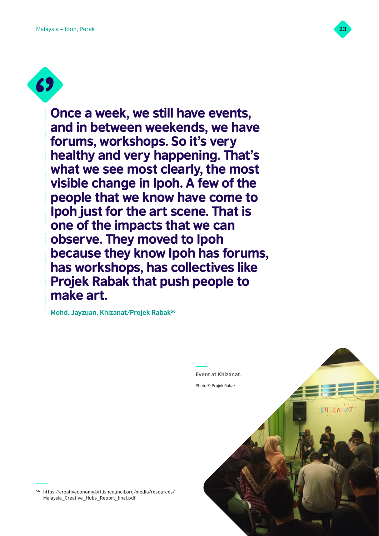

**69** 

Once a week, we still have events, and in between weekends, we have forums, workshops. So it's very healthy and very happening. That's what we see most clearly, the most visible change in Ipoh. A few of the people that we know have come to Ipoh just for the art scene. That is one of the impacts that we can observe. They moved to Ipoh because they know Ipoh has forums, has workshops, has collectives like Projek Rabak that push people to make art.

**Mohd. Jayzuan, Khizanat/Projek Rabak56**



<sup>56</sup> https://creativeconomy.britishcouncil.org/media/resources/ Malaysia\_Creative\_Hubs\_Report\_final.pdf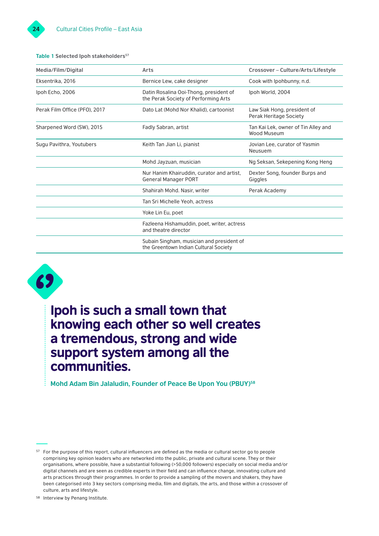### **Table 1 Selected Ipoh stakeholders<sup>57</sup>**

| Media/Film/Digital            | Arts                                                                               | Crossover - Culture/Arts/Lifestyle                    |
|-------------------------------|------------------------------------------------------------------------------------|-------------------------------------------------------|
| Eksentrika, 2016              | Bernice Lew, cake designer                                                         | Cook with Ipohbunny, n.d.                             |
| Ipoh Echo, 2006               | Datin Rosalina Ooi-Thong, president of<br>the Perak Society of Performing Arts     | Ipoh World, 2004                                      |
| Perak Film Office (PFO), 2017 | Dato Lat (Mohd Nor Khalid), cartoonist                                             | Law Siak Hong, president of<br>Perak Heritage Society |
| Sharpened Word (SW), 2015     | Fadly Sabran, artist                                                               | Tan Kai Lek, owner of Tin Alley and<br>Wood Museum    |
| Sugu Pavithra, Youtubers      | Keith Tan Jian Li, pianist                                                         | Jovian Lee, curator of Yasmin<br>Neusuem              |
|                               | Mohd Jayzuan, musician                                                             | Ng Seksan, Sekepening Kong Heng                       |
|                               | Nur Hanim Khairuddin, curator and artist,<br><b>General Manager PORT</b>           | Dexter Song, founder Burps and<br>Giggles             |
|                               | Shahirah Mohd. Nasir, writer                                                       | Perak Academy                                         |
|                               | Tan Sri Michelle Yeoh, actress                                                     |                                                       |
|                               | Yoke Lin Eu, poet                                                                  |                                                       |
|                               | Fazleena Hishamuddin, poet, writer, actress<br>and theatre director                |                                                       |
|                               | Subain Singham, musician and president of<br>the Greentown Indian Cultural Society |                                                       |



# Ipoh is such a small town that knowing each other so well creates a tremendous, strong and wide support system among all the communities.

**Mohd Adam Bin Jalaludin, Founder of Peace Be Upon You (PBUY)<sup>58</sup>** 

<sup>57</sup> For the purpose of this report, cultural influencers are defined as the media or cultural sector go to people comprising key opinion leaders who are networked into the public, private and cultural scene. They or their organisations, where possible, have a substantial following (>50,000 followers) especially on social media and/or digital channels and are seen as credible experts in their field and can influence change, innovating culture and arts practices through their programmes. In order to provide a sampling of the movers and shakers, they have been categorised into 3 key sectors comprising media, film and digitals, the arts, and those within a crossover of culture, arts and lifestyle.

<sup>58</sup> Interview by Penang Institute.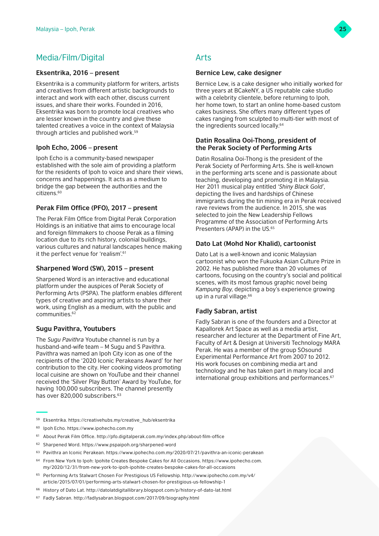# Media/Film/Digital

# **Eksentrika, 2016 – present**

Eksentrika is a community platform for writers, artists and creatives from different artistic backgrounds to interact and work with each other, discuss current issues, and share their works. Founded in 2016, Eksentrika was born to promote local creatives who are lesser known in the country and give these talented creatives a voice in the context of Malaysia through articles and published work.59

# **Ipoh Echo, 2006 – present**

Ipoh Echo is a community-based newspaper established with the sole aim of providing a platform for the residents of Ipoh to voice and share their views, concerns and happenings. It acts as a medium to bridge the gap between the authorities and the citizens.60

# **Perak Film Office (PFO), 2017 – present**

The Perak Film Office from Digital Perak Corporation Holdings is an initiative that aims to encourage local and foreign filmmakers to choose Perak as a filming location due to its rich history, colonial buildings, various cultures and natural landscapes hence making it the perfect venue for 'realism'.<sup>61</sup>

# **Sharpened Word (SW), 2015 – present**

Sharpened Word is an interactive and educational platform under the auspices of Perak Society of Performing Arts (PSPA). The platform enables different types of creative and aspiring artists to share their work, using English as a medium, with the public and communities.62

# **Sugu Pavithra, Youtubers**

The *Sugu Pavithra* Youtube channel is run by a husband-and-wife team – M Sugu and S Pavithra. Pavithra was named an Ipoh City icon as one of the recipients of the '2020 Iconic Perakeans Award' for her contribution to the city. Her cooking videos promoting local cuisine are shown on YouTube and their channel received the 'Silver Play Button' Award by YouTube, for having 100,000 subscribers. The channel presently has over 820,000 subscribers.<sup>63</sup>

# Arts

### **Bernice Lew, cake designer**

Bernice Lew, is a cake designer who initially worked for three years at BCakeNY, a US reputable cake studio with a celebrity clientele, before returning to Ipoh, her home town, to start an online home-based custom cakes business. She offers many different types of cakes ranging from sculpted to multi-tier with most of the ingredients sourced locally.<sup>64</sup>

# **Datin Rosalina Ooi-Thong, president of the Perak Society of Performing Arts**

Datin Rosalina Ooi-Thong is the president of the Perak Society of Performing Arts. She is well-known in the performing arts scene and is passionate about teaching, developing and promoting it in Malaysia. Her 2011 musical play entitled *'Shiny Black Gold'*, depicting the lives and hardships of Chinese immigrants during the tin mining era in Perak received rave reviews from the audience. In 2015, she was selected to join the New Leadership Fellows Programme of the Association of Performing Arts Presenters (APAP) in the US.<sup>65</sup>

# **Dato Lat (Mohd Nor Khalid), cartoonist**

Dato Lat is a well-known and iconic Malaysian cartoonist who won the Fukuoka Asian Culture Prize in 2002. He has published more than 20 volumes of cartoons, focusing on the country's social and political scenes, with its most famous graphic novel being *Kampung Boy*, depicting a boy's experience growing up in a rural village.<sup>66</sup>

# **Fadly Sabran, artist**

Fadly Sabran is one of the founders and a Director at Kapallorek Art Space as well as a media artist, researcher and lecturer at the Department of Fine Art, Faculty of Art & Design at Universiti Technology MARA Perak. He was a member of the group SOsound Experimental Performance Art from 2007 to 2012. His work focuses on combining media art and technology and he has taken part in many local and international group exhibitions and performances.<sup>67</sup>

<sup>60</sup> Ipoh Echo. <https://www.ipohecho.com.my>



<sup>59</sup> Eksentrika. [https://creativehubs.my/creative\\_hub/eksentrika](https://creativehubs.my/creative_hub/eksentrika)

<sup>61</sup> About Perak Film Office.<http://pfo.digitalperak.com.my/index.php/about-film-office>

<sup>62</sup> Sharpened Word. <https://www.pspaipoh.org/sharpened-word>

<sup>63</sup> Pavithra an Iconic Perakean. <https://www.ipohecho.com.my/2020/07/21/pavithra-an-iconic-perakean>

<sup>64</sup> From New York to Ipoh: Ipohite Creates Bespoke Cakes for All Occasions. [https://www.ipohecho.com.](https://www.ipohecho.com.my/2020/12/31/from-new-york-to-ipoh-ipohite-creates-bespoke-cakes-for-all-occasions) [my/2020/12/31/from-new-york-to-ipoh-ipohite-creates-bespoke-cakes-for-all-occasions](https://www.ipohecho.com.my/2020/12/31/from-new-york-to-ipoh-ipohite-creates-bespoke-cakes-for-all-occasions)

<sup>65</sup> Performing Arts Stalwart Chosen For Prestigious US Fellowship. [http://www.ipohecho.com.my/v4/](http://www.ipohecho.com.my/v4/article/2015/07/01/performing-arts-stalwart-chosen-for-prestigious-us-fellowship-1) [article/2015/07/01/performing-arts-stalwart-chosen-for-prestigious-us-fellowship-1](http://www.ipohecho.com.my/v4/article/2015/07/01/performing-arts-stalwart-chosen-for-prestigious-us-fellowship-1) 

<sup>66</sup> History of Dato Lat. <http://datolatdigitallibrary.blogspot.com/p/history-of-dato-lat.html>

<sup>67</sup> Fadly Sabran. <http://fadlysabran.blogspot.com/2017/09/biography.html>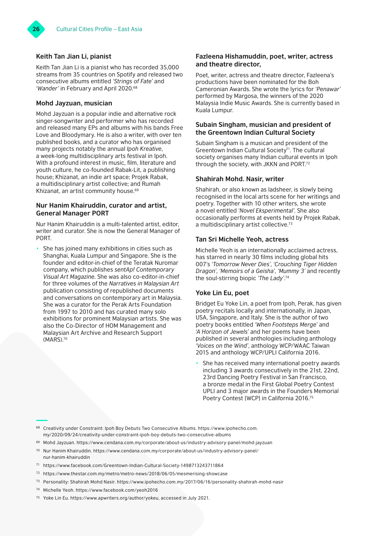# **Keith Tan Jian Li, pianist**

Keith Tan Jian Li is a pianist who has recorded 35,000 streams from 35 countries on Spotify and released two consecutive albums entitled *'Strings of Fate'* and 'Wander' in February and April 2020.<sup>68</sup>

# **Mohd Jayzuan, musician**

Mohd Jayzuan is a popular indie and alternative rock singer-songwriter and performer who has recorded and released many EPs and albums with his bands Free Love and Bloodymary. He is also a writer, with over ten published books, and a curator who has organised many projects notably the annual *Ipoh Kreative*, a week-long multidisciplinary arts festival in Ipoh. With a profound interest in music, film, literature and youth culture, he co-founded Rabak-Lit, a publishing house; Khizanat, an indie art space; Projek Rabak, a multidisciplinary artist collective; and Rumah Khizanat, an artist community house.69

# **Nur Hanim Khairuddin, curator and artist, General Manager PORT**

Nur Hanim Khairuddin is a multi-talented artist, editor, writer and curator. She is now the General Manager of PORT.

She has joined many exhibitions in cities such as Shanghai, Kuala Lumpur and Singapore. She is the founder and editor-in-chief of the Teratak Nuromar company, which publishes *sentAp! Contemporary Visual Art Magazine*. She was also co-editor-in-chief for three volumes of the *Narratives in Malaysian Art* publication consisting of republished documents and conversations on contemporary art in Malaysia. She was a curator for the Perak Arts Foundation from 1997 to 2010 and has curated many solo exhibitions for prominent Malaysian artists. She was also the Co-Director of HOM Management and Malaysian Art Archive and Research Support (MARS).70

# **Fazleena Hishamuddin, poet, writer, actress and theatre director,**

Poet, writer, actress and theatre director, Fazleena's productions have been nominated for the Boh Cameronian Awards. She wrote the lyrics for *'Penawar'* performed by Margosa, the winners of the 2020 Malaysia Indie Music Awards. She is currently based in Kuala Lumpur.

# **Subain Singham, musician and president of the Greentown Indian Cultural Society**

Subain Singham is a musican and president of the Greentown Indian Cultural Society<sup> $7$ 1</sup>. The cultural society organises many Indian cultural events in Ipoh through the society, with JKKN and PORT.72

# **Shahirah Mohd. Nasir, writer**

Shahirah, or also known as ladsheer, is slowly being recognised in the local arts scene for her writings and poetry. Together with 10 other writers, she wrote a novel entitled *'Novel Eksperimental'*. She also occasionally performs at events held by Projek Rabak, a multidisciplinary artist collective.73

# **Tan Sri Michelle Yeoh, actress**

Michelle Yeoh is an internationally acclaimed actress, has starred in nearly 30 films including global hits 007's *'Tomorrow Never Dies'*, *'Crouching Tiger Hidden Dragon'*, *'Memoirs of a Geisha'*, *'Mummy 3'* and recently the soul-stirring biopic *'The Lady'*. 74

# **Yoke Lin Eu, poet**

Bridget Eu Yoke Lin, a poet from Ipoh, Perak, has given poetry recitals locally and internationally, in Japan, USA, Singapore, and Italy. She is the author of two poetry books entitled *'When Footsteps Merge'* and *'A Horizon of Jewels'* and her poems have been published in several anthologies including anthology *'Voices on the Wind'*, anthology WCP/WAAC Taiwan 2015 and anthology WCP/UPLI California 2016.

She has received many international poetry awards including 3 awards consecutively in the 21st, 22nd, 23rd Dancing Poetry Festival in San Francisco, a bronze medal in the First Global Poetry Contest UPLI and 3 major awards in the Founders Memorial Poetry Contest [WCP] in California 2016.75

- <sup>69</sup> Mohd Jayzuan.<https://www.cendana.com.my/corporate/about-us/industry-advisory-panel/mohd-jayzuan>
- <sup>70</sup> Nur Hanim Khairuddin. [https://www.cendana.com.my/corporate/about-us/industry-advisory-panel/](https://www.cendana.com.my/corporate/about-us/industry-advisory-panel/nur-hanim-khairuddin) [nur-hanim-khairuddin](https://www.cendana.com.my/corporate/about-us/industry-advisory-panel/nur-hanim-khairuddin)
- <sup>71</sup> [https://www.facebook.com/Greentown-Indian-Cultural-Society-1498713243711864](https://www.facebook.com/Greentown-Indian-Cultural-Society-1498713243711864 
)
- <sup>72</sup> <https://www.thestar.com.my/metro/metro-news/2018/06/05/mesmerising-showcase>
- <sup>73</sup> Personality: Shahirah Mohd Nasir. <https://www.ipohecho.com.my/2017/06/16/personality-shahirah-mohd-nasir>
- <sup>74</sup> Michelle Yeoh.<https://www.facebook.com/yeoh2016>
- <sup>75</sup> Yoke Lin Eu. <https://www.apwriters.org/author/yokeu>, accessed in July 2021.

<sup>68</sup> Creativity under Constraint: Ipoh Boy Debuts Two Consecutive Albums. [https://www.ipohecho.com.](https://www.ipohecho.com.my/2020/09/24/creativity-under-constraint-ipoh-boy-debuts-two-consecutive-albums) [my/2020/09/24/creativity-under-constraint-ipoh-boy-debuts-two-consecutive-albums](https://www.ipohecho.com.my/2020/09/24/creativity-under-constraint-ipoh-boy-debuts-two-consecutive-albums)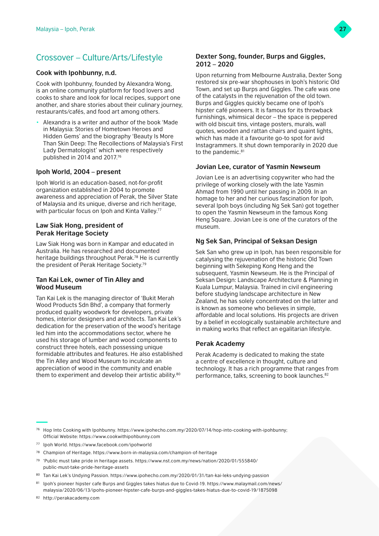# Crossover – Culture/Arts/Lifestyle

# **Cook with Ipohbunny, n.d.**

Cook with Ipohbunny, founded by Alexandra Wong, is an online community platform for food lovers and cooks to share and look for local recipes, support one another, and share stories about their culinary journey, restaurants/cafés, and food art among others.

• Alexandra is a writer and author of the book 'Made in Malaysia: Stories of Hometown Heroes and Hidden Gems' and the biography 'Beauty Is More Than Skin Deep: The Recollections of Malaysia's First Lady Dermatologist' which were respectively published in 2014 and 2017.76

# **Ipoh World, 2004 – present**

Ipoh World is an education-based, not-for-profit organization established in 2004 to promote awareness and appreciation of Perak, the Silver State of Malaysia and its unique, diverse and rich heritage, with particular focus on Ipoh and Kinta Valley.<sup>77</sup>

### **Law Siak Hong, president of Perak Heritage Society**

Law Siak Hong was born in Kampar and educated in Australia. He has researched and documented heritage buildings throughout Perak.78 He is currently the president of Perak Heritage Society.79

### **Tan Kai Lek, owner of Tin Alley and Wood Museum**

Tan Kai Lek is the managing director of 'Bukit Merah Wood Products Sdn Bhd', a company that formerly produced quality woodwork for developers, private homes, interior designers and architects. Tan Kai Lek's dedication for the preservation of the wood's heritage led him into the accommodations sector, where he used his storage of lumber and wood components to construct three hotels, each possessing unique formidable attributes and features. He also established the Tin Alley and Wood Museum to inculcate an appreciation of wood in the community and enable them to experiment and develop their artistic ability.80

### **Dexter Song, founder, Burps and Giggles, 2012 – 2020**

Upon returning from Melbourne Australia, Dexter Song restored six pre-war shophouses in Ipoh's historic Old Town, and set up Burps and Giggles. The cafe was one of the catalysts in the rejuvenation of the old town. Burps and Giggles quickly became one of Ipoh's hipster café pioneers. It is famous for its throwback furnishings, whimsical decor – the space is peppered with old biscuit tins, vintage posters, murals, wall quotes, wooden and rattan chairs and quaint lights, which has made it a favourite go-to spot for avid Instagrammers. It shut down temporarily in 2020 due to the pandemic.<sup>81</sup>

# **Jovian Lee, curator of Yasmin Newseum**

Jovian Lee is an advertising copywriter who had the privilege of working closely with the late Yasmin Ahmad from 1990 until her passing in 2009. In an homage to her and her curious fascination for Ipoh, several Ipoh boys (including Ng Sek San) got together to open the Yasmin Newseum in the famous Kong Heng Square. Jovian Lee is one of the curators of the museum.

# **Ng Sek San, Principal of Seksan Design**

Sek San who grew up in Ipoh, has been responsible for catalysing the rejuvenation of the historic Old Town beginning with Sekeping Kong Heng and the subsequent, Yasmin Newseum. He is the Principal of Seksan Design: Landscape Architecture & Planning in Kuala Lumpur, Malaysia. Trained in civil engineering before studying landscape architecture in New Zealand, he has solely concentrated on the latter and is known as someone who believes in simple, affordable and local solutions. His projects are driven by a belief in ecologically sustainable architecture and in making works that reflect an egalitarian lifestyle.

# **Perak Academy**

Perak Academy is dedicated to making the state a centre of excellence in thought, culture and technology. It has a rich programme that ranges from performance, talks, screening to book launches.82

- <sup>76</sup> Hop Into Cooking with Ipohbunny. [https://www.ipohecho.com.my/2020/07/14/hop-into-cooking-with-ipohbunny;](https://www.ipohecho.com.my/2020/07/14/hop-into-cooking-with-ipohbunny) Official Website: <https://www.cookwithipohbunny.com>
- <sup>77</sup> Ipoh World. <https://www.facebook.com/ipohworld>
- <sup>78</sup> Champion of Heritage.<https://www.born-in-malaysia.com/champion-of-heritage>
- <sup>79</sup> 'Public must take pride in heritage assets. [https://www.nst.com.my/news/nation/2020/01/555840/](https://www.nst.com.my/news/nation/2020/01/555840/public-must-take-pride-heritage-assets) [public-must-take-pride-heritage-assets](https://www.nst.com.my/news/nation/2020/01/555840/public-must-take-pride-heritage-assets)
- <sup>80</sup> Tan Kai Lek's Undying Passion. <https://www.ipohecho.com.my/2020/01/31/tan-kai-leks-undying-passion>
- <sup>81</sup> Ipoh's pioneer hipster cafe Burps and Giggles takes hiatus due to Covid-19. [https://www.malaymail.com/news/](https://www.malaymail.com/news/malaysia/2020/06/13/ipohs-pioneer-hipster-cafe-burps-and-giggles-takes-hiatus-due-to-covid-19/1875098) [malaysia/2020/06/13/ipohs-pioneer-hipster-cafe-burps-and-giggles-takes-hiatus-due-to-covid-19/1875098](https://www.malaymail.com/news/malaysia/2020/06/13/ipohs-pioneer-hipster-cafe-burps-and-giggles-takes-hiatus-due-to-covid-19/1875098)

<sup>82</sup> <http://perakacademy.com>

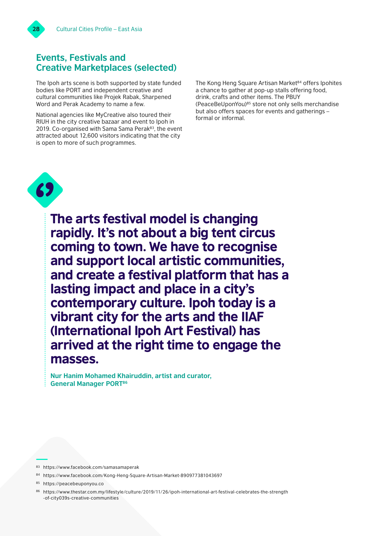

# **Events, Festivals and Creative Marketplaces (selected)**

The Ipoh arts scene is both supported by state funded bodies like PORT and independent creative and cultural communities like Projek Rabak, Sharpened Word and Perak Academy to name a few.

National agencies like MyCreative also toured their RIUH in the city creative bazaar and event to Ipoh in 2019. Co-organised with Sama Sama Perak<sup>83</sup>, the event attracted about 12,600 visitors indicating that the city is open to more of such programmes.

The Kong Heng Square Artisan Market<sup>84</sup> offers Ipohites a chance to gather at pop-up stalls offering food, drink, crafts and other items. The PBUY (PeaceBeUponYou)85 store not only sells merchandise but also offers spaces for events and gatherings – formal or informal.



The arts festival model is changing rapidly. It's not about a big tent circus coming to town. We have to recognise and support local artistic communities, and create a festival platform that has a lasting impact and place in a city's contemporary culture. Ipoh today is a vibrant city for the arts and the IIAF (International Ipoh Art Festival) has arrived at the right time to engage the masses.

**Nur Hanim Mohamed Khairuddin, artist and curator, General Manager PORT86**

- <sup>83</sup> <https://www.facebook.com/samasamaperak>
- <sup>84</sup> <https://www.facebook.com/Kong-Heng-Square-Artisan-Market-890977381043697>
- <sup>85</sup> <https://peacebeuponyou.co>

<sup>86</sup> [https://www.thestar.com.my/lifestyle/culture/2019/11/26/ipoh-international-art-festival-celebrates-the-strength](https://www.thestar.com.my/lifestyle/culture/2019/11/26/ipoh-international-art-festival-celebrates-the-strength-of-city039s-creative-communities) [-of-city039s-creative-communities](https://www.thestar.com.my/lifestyle/culture/2019/11/26/ipoh-international-art-festival-celebrates-the-strength-of-city039s-creative-communities)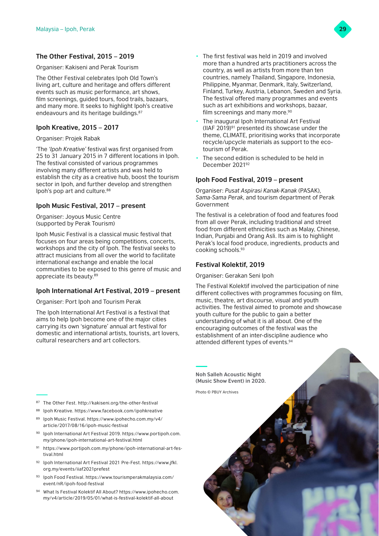# **The Other Festival, 2015 – 2019**

Organiser: Kakiseni and Perak Tourism

The Other Festival celebrates Ipoh Old Town's living art, culture and heritage and offers different events such as music performance, art shows, film screenings, guided tours, food trails, bazaars, and many more. It seeks to highlight Ipoh's creative endeavours and its heritage buildings.<sup>87</sup>

# **Ipoh Kreative, 2015 – 2017**

Organiser: Projek Rabak

'The *'Ipoh Kreative'* festival was first organised from 25 to 31 January 2015 in 7 different locations in Ipoh. The festival consisted of various programmes involving many different artists and was held to establish the city as a creative hub, boost the tourism sector in Ipoh, and further develop and strengthen Ipoh's pop art and culture.<sup>88</sup>

# **Ipoh Music Festival, 2017 – present**

Organiser: Joyous Music Centre (supported by Perak Tourism)

Ipoh Music Festival is a classical music festival that focuses on four areas being competitions, concerts, workshops and the city of Ipoh. The festival seeks to attract musicians from all over the world to facilitate international exchange and enable the local communities to be exposed to this genre of music and appreciate its beauty.89

# **Ipoh International Art Festival, 2019 – present**

Organiser: Port Ipoh and Tourism Perak

The Ipoh International Art Festival is a festival that aims to help Ipoh become one of the major cities carrying its own 'signature' annual art festival for domestic and international artists, tourists, art lovers, cultural researchers and art collectors.

- <sup>87</sup> The Other Fest. http://kakiseni.org/the-other-festival
- <sup>88</sup> Ipoh Kreative.<https://www.facebook.com/ipohkreative> <sup>89</sup> Ipoh Music Festival. [https://www.ipohecho.com.my/v4/](https://www.ipohecho.com.my/v4/article/2017/08/16/ipoh-music-festival)
- [article/2017/08/16/ipoh-music-festival](https://www.ipohecho.com.my/v4/article/2017/08/16/ipoh-music-festival) <sup>90</sup> Ipoh International Art Festival 2019. [https://www.portipoh.com.](https://www.portipoh.com.my/phone/ipoh-international-art-festival.html) [my/phone/ipoh-international-art-festival.html](https://www.portipoh.com.my/phone/ipoh-international-art-festival.html)
- <sup>91</sup> [https://www.portipoh.com.my/phone/ipoh-international-art-fes](https://www.portipoh.com.my/phone/ipoh-international-art-festival.html)tival html
- <sup>92</sup> Ipoh International Art Festival 2021 Pre-Fest. [https://www.jfkl.](https://www.jfkl.org.my/events/iiaf2021prefest) [org.my/events/iiaf2021prefest](https://www.jfkl.org.my/events/iiaf2021prefest)
- <sup>93</sup> Ipoh Food Festival. [https://www.tourismperakmalaysia.com/](https://www.tourismperakmalaysia.com/event/nR/ipoh-food-festival) [event/nR/ipoh-food-festival](https://www.tourismperakmalaysia.com/event/nR/ipoh-food-festival)
- <sup>94</sup> What Is Festival Kolektif All About? [https://www.ipohecho.com.](https://www.ipohecho.com.my/v4/article/2019/05/01/what-is-festival-kolektif-all-about) [my/v4/article/2019/05/01/what-is-festival-kolektif-all-about](https://www.ipohecho.com.my/v4/article/2019/05/01/what-is-festival-kolektif-all-about)
- The first festival was held in 2019 and involved more than a hundred arts practitioners across the country, as well as artists from more than ten countries, namely Thailand, Singapore, Indonesia, Philippine, Myanmar, Denmark, Italy, Switzerland, Finland, Turkey, Austria, Lebanon, Sweden and Syria. The festival offered many programmes and events such as art exhibitions and workshops, bazaar, film screenings and many more.<sup>90</sup>
- The inaugural Ipoh International Art Festival (IIAF 2019)91 presented its showcase under the theme, CLIMATE, prioritising works that incorporate recycle/upcycle materials as support to the ecotourism of Perak.
- The second edition is scheduled to be held in December 202192

# **Ipoh Food Festival, 2019 – present**

Organiser: *Pusat Aspirasi Kanak-Kanak* (PASAK), *Sama-Sama Perak*, and tourism department of Perak Government

The festival is a celebration of food and features food from all over Perak, including traditional and street food from different ethnicities such as Malay, Chinese, Indian, Punjabi and Orang Asli. Its aim is to highlight Perak's local food produce, ingredients, products and cooking schools.93

# **Festival Kolektif, 2019**

Organiser: Gerakan Seni Ipoh

The Festival Kolektif involved the participation of nine different collectives with programmes focusing on film, music, theatre, art discourse, visual and youth activities. The festival aimed to promote and showcase youth culture for the public to gain a better understanding of what it is all about. One of the encouraging outcomes of the festival was the establishment of an inter-discipline audience who attended different types of events.94



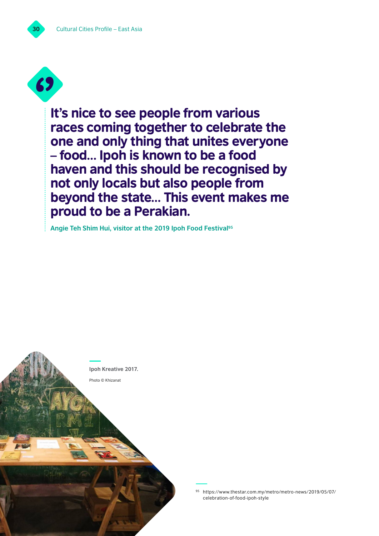

It's nice to see people from various races coming together to celebrate the one and only thing that unites everyone – food… Ipoh is known to be a food haven and this should be recognised by not only locals but also people from beyond the state… This event makes me proud to be a Perakian.

**Angie Teh Shim Hui, visitor at the 2019 Ipoh Food Festival95**



<sup>95</sup> [https://www.thestar.com.my/metro/metro-news/2019/05/07/](https://www.thestar.com.my/metro/metro-news/2019/05/07/celebration-of-food-ipoh-style) [celebration-of-food-ipoh-style](https://www.thestar.com.my/metro/metro-news/2019/05/07/celebration-of-food-ipoh-style)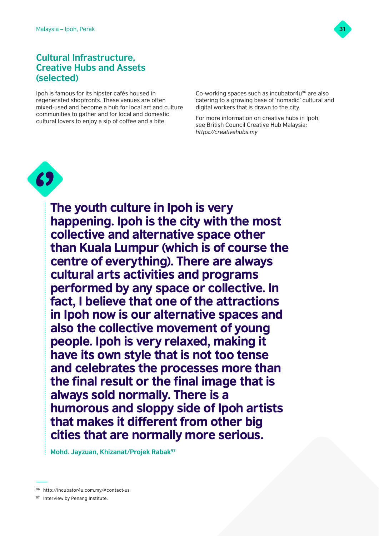

# **Cultural Infrastructure, Creative Hubs and Assets (selected)**

Ipoh is famous for its hipster cafés housed in regenerated shopfronts. These venues are often mixed-used and become a hub for local art and culture communities to gather and for local and domestic cultural lovers to enjoy a sip of coffee and a bite.

Co-working spaces such as incubator4u<sup>96</sup> are also catering to a growing base of 'nomadic' cultural and digital workers that is drawn to the city.

For more information on creative hubs in Ipoh, see British Council Creative Hub Malaysia: *<https://creativehubs.my>*



The youth culture in Ipoh is very happening. Ipoh is the city with the most collective and alternative space other than Kuala Lumpur (which is of course the centre of everything). There are always cultural arts activities and programs performed by any space or collective. In fact, I believe that one of the attractions in Ipoh now is our alternative spaces and also the collective movement of young people. Ipoh is very relaxed, making it have its own style that is not too tense and celebrates the processes more than the final result or the final image that is always sold normally. There is a humorous and sloppy side of Ipoh artists that makes it different from other big cities that are normally more serious.

**Mohd. Jayzuan, Khizanat/Projek Rabak97**

97 Interview by Penang Institute.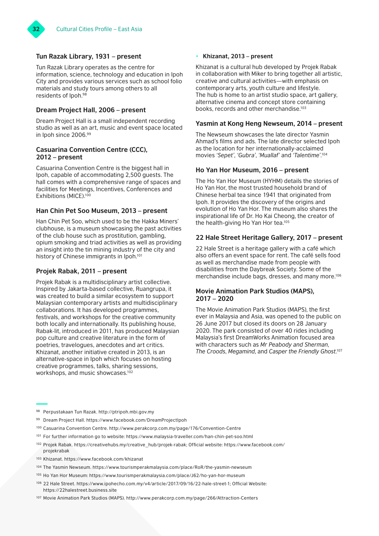



### **Tun Razak Library, 1931 – present**

Tun Razak Library operates as the centre for information, science, technology and education in Ipoh City and provides various services such as school folio materials and study tours among others to all residents of Ipoh.98

# **Dream Project Hall, 2006 – present**

Dream Project Hall is a small independent recording studio as well as an art, music and event space located in Ipoh since 2006.99

### **Casuarina Convention Centre (CCC), 2012 – present**

Casuarina Convention Centre is the biggest hall in Ipoh, capable of accommodating 2,500 guests. The hall comes with a comprehensive range of spaces and facilities for Meetings, Incentives, Conferences and Exhibitions (MICE).<sup>100</sup>

# **Han Chin Pet Soo Museum, 2013 – present**

Han Chin Pet Soo, which used to be the Hakka Miners' clubhouse, is a museum showcasing the past activities of the club house such as prostitution, gambling, opium smoking and triad activities as well as providing an insight into the tin mining industry of the city and history of Chinese immigrants in Ipoh.<sup>101</sup>

### **Projek Rabak, 2011 – present**

Projek Rabak is a multidisciplinary artist collective. Inspired by Jakarta-based collective, Ruangrupa, it was created to build a similar ecosystem to support Malaysian contemporary artists and multidisciplinary collaborations. It has developed programmes, festivals, and workshops for the creative community both locally and internationally. Its publishing house, Rabak-lit, introduced in 2011, has produced Malaysian pop culture and creative literature in the form of poetries, travelogues, anecdotes and art critics. Khizanat, another initiative created in 2013, is an alternative-space in Ipoh which focuses on hosting creative programmes, talks, sharing sessions, workshops, and music showcases.<sup>102</sup>

### • **Khizanat, 2013 – present**

Khizanat is a cultural hub developed by Projek Rabak in collaboration with Miker to bring together all artistic, creative and cultural activities—with emphasis on contemporary arts, youth culture and lifestyle. The hub is home to an artist studio space, art gallery, alternative cinema and concept store containing books, records and other merchandise.<sup>103</sup>

### **Yasmin at Kong Heng Newseum, 2014 – present**

The Newseum showcases the late director Yasmin Ahmad's films and ads. The late director selected Ipoh as the location for her internationally-acclaimed movies *'Sepet'*, *'Gubra'*, *'Muallaf'* and *'Talentime'*. 104

# **Ho Yan Hor Museum, 2016 – present**

The Ho Yan Hor Museum (HYHM) details the stories of Ho Yan Hor, the most trusted household brand of Chinese herbal tea since 1941 that originated from Ipoh. It provides the discovery of the origins and evolution of Ho Yan Hor. The museum also shares the inspirational life of Dr. Ho Kai Cheong, the creator of the health-giving Ho Yan Hor tea.105

### **22 Hale Street Heritage Gallery, 2017 – present**

22 Hale Street is a heritage gallery with a café which also offers an event space for rent. The café sells food as well as merchandise made from people with disabilities from the Daybreak Society. Some of the merchandise include bags, dresses, and many more.106

### **Movie Animation Park Studios (MAPS), 2017 – 2020**

The Movie Animation Park Studios (MAPS), the first ever in Malaysia and Asia, was opened to the public on 26 June 2017 but closed its doors on 28 January 2020. The park consisted of over 40 rides including Malaysia's first DreamWorks Animation focused area with characters such as *Mr Peabody and Sherman*, *The Croods*, *Megamind*, and *Casper the Friendly Ghost*. 107

- <sup>99</sup> Dream Project Hall. <https://www.facebook.com/DreamProjectIpoh>
- <sup>100</sup> Casuarina Convention Centre. <http://www.perakcorp.com.my/page/176/Convention-Centre>
- <sup>101</sup> For further information go to website:<https://www.malaysia-traveller.com/han-chin-pet-soo.html>
- <sup>102</sup> Projek Rabak. [https://creativehubs.my/creative\\_hub/projek-rabak;](https://creativehubs.my/creative_hub/projek-rabak) Official website: [https://www.facebook.com/](https://www.facebook.com/projekrabak) [projekrabak](https://www.facebook.com/projekrabak)
- <sup>103</sup> Khizanat.<https://www.facebook.com/khizanat>
- <sup>104</sup> The Yasmin Newseum. <https://www.tourismperakmalaysia.com/place/RoR/the-yasmin-newseum>
- <sup>105</sup> Ho Yan Hor Museum:<https://www.tourismperakmalaysia.com/place/J62/ho-yan-hor-museum>
- <sup>106</sup> 22 Hale Street.<https://www.ipohecho.com.my/v4/article/2017/09/16/22-hale-street-1>; Official Website: <https://22halestreet.business.site>
- <sup>107</sup> Movie Animation Park Studios (MAPS).<http://www.perakcorp.com.my/page/266/Attraction-Centers>

<sup>98</sup> Perpustakaan Tun Razak. <http://ptripoh.mbi.gov.my>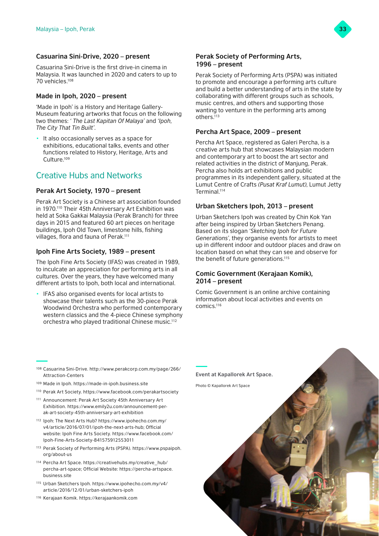# **Casuarina Sini-Drive, 2020 – present**

Casuarina Sini-Drive is the first drive-in cinema in Malaysia. It was launched in 2020 and caters to up to 70 vehicles.108

# **Made in Ipoh, 2020 – present**

'Made in Ipoh' is a History and Heritage Gallery-Museum featuring artworks that focus on the following two themes: *' The Last Kapitan Of Malaya'* and *'Ipoh, The City That Tin Built'*.

• It also occasionally serves as a space for exhibitions, educational talks, events and other functions related to History, Heritage, Arts and Culture.109

# Creative Hubs and Networks

# **Perak Art Society, 1970 – present**

Perak Art Society is a Chinese art association founded in 1970.<sup>110</sup> Their 45th Anniversary Art Exhibition was held at Soka Gakkai Malaysia (Perak Branch) for three days in 2015 and featured 60 art pieces on heritage buildings, Ipoh Old Town, limestone hills, fishing villages, flora and fauna of Perak.<sup>111</sup>

# **Ipoh Fine Arts Society, 1989 – present**

The Ipoh Fine Arts Society (IFAS) was created in 1989, to inculcate an appreciation for performing arts in all cultures. Over the years, they have welcomed many different artists to Ipoh, both local and international.

• IFAS also organised events for local artists to showcase their talents such as the 30-piece Perak Woodwind Orchestra who performed contemporary western classics and the 4-piece Chinese symphony orchestra who played traditional Chinese music.112

# **Perak Society of Performing Arts, 1996 – present**

Perak Society of Performing Arts (PSPA) was initiated to promote and encourage a performing arts culture and build a better understanding of arts in the state by collaborating with different groups such as schools, music centres, and others and supporting those wanting to venture in the performing arts among others<sup>113</sup>

# **Percha Art Space, 2009 – present**

Percha Art Space, registered as Galeri Percha, is a creative arts hub that showcases Malaysian modern and contemporary art to boost the art sector and related activities in the district of Manjung, Perak. Percha also holds art exhibitions and public programmes in its independent gallery, situated at the Lumut Centre of Crafts *(Pusat Kraf Lumut)*, Lumut Jetty Terminal.114

# **Urban Sketchers Ipoh, 2013 – present**

Urban Sketchers Ipoh was created by Chin Kok Yan after being inspired by Urban Sketchers Penang. Based on its slogan *'Sketching Ipoh for Future Generations'*, they organise events for artists to meet up in different indoor and outdoor places and draw on location based on what they can see and observe for the benefit of future generations.<sup>115</sup>

# **Comic Government (Kerajaan Komik), 2014 – present**

Comic Government is an online archive containing information about local activities and events on comics.116

- <sup>108</sup> Casuarina Sini-Drive. [http://www.perakcorp.com.my/page/266/](http://www.perakcorp.com.my/page/266/Attraction-Centers) [Attraction-Centers](http://www.perakcorp.com.my/page/266/Attraction-Centers)
- <sup>109</sup> Made in Ipoh. <https://made-in-ipoh.business.site>
- <sup>110</sup> Perak Art Society. <https://www.facebook.com/perakartsociety>
- <sup>111</sup> Announcement: Perak Art Society 45th Anniversary Art Exhibition. [https://www.emily2u.com/announcement-per](https://www.emily2u.com/announcement-perak-art-society-45th-anniversary-art-exhibition)[ak-art-society-45th-anniversary-art-exhibition](https://www.emily2u.com/announcement-perak-art-society-45th-anniversary-art-exhibition)
- <sup>112</sup> Ipoh: The Next Arts Hub? [https://www.ipohecho.com.my/](https://www.ipohecho.com.my/v4/article/2016/07/01/ipoh-the-next-arts-hub) [v4/article/2016/07/01/ipoh-the-next-arts-hub](https://www.ipohecho.com.my/v4/article/2016/07/01/ipoh-the-next-arts-hub); Official website: Ipoh Fine Arts Society. [https://www.facebook.com/](https://www.facebook.com/Ipoh-Fine-Arts-Society-841575912553011) [Ipoh-Fine-Arts-Society-841575912553011](https://www.facebook.com/Ipoh-Fine-Arts-Society-841575912553011)
- <sup>113</sup> Perak Society of Performing Arts (PSPA). [https://www.pspaipoh.](https://www.pspaipoh.org/about-us) [org/about-us](https://www.pspaipoh.org/about-us)
- <sup>114</sup> Percha Art Space. [https://creativehubs.my/creative\\_hub/](https://creativehubs.my/creative_hub/percha-art-space) [percha-art-space](https://creativehubs.my/creative_hub/percha-art-space); Official Website: [https://percha-artspace.](https://percha-artspace.business.site) [business.site](https://percha-artspace.business.site)
- <sup>115</sup> Urban Sketchers Ipoh. [https://www.ipohecho.com.my/v4/](https://www.ipohecho.com.my/v4/article/2016/12/01/urban-sketchers-ipoh) [article/2016/12/01/urban-sketchers-ipoh](https://www.ipohecho.com.my/v4/article/2016/12/01/urban-sketchers-ipoh)





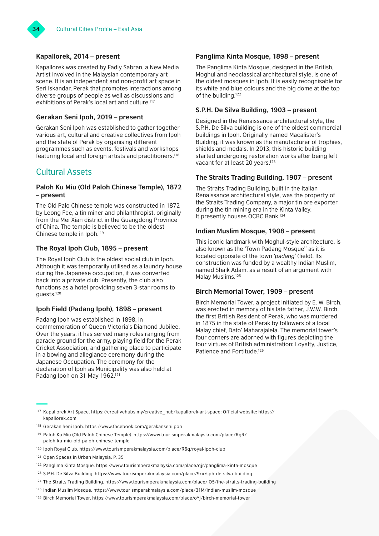# **Kapallorek, 2014 – present**

Kapallorek was created by Fadly Sabran, a New Media Artist involved in the Malaysian contemporary art scene. It is an independent and non-profit art space in Seri Iskandar, Perak that promotes interactions among diverse groups of people as well as discussions and exhibitions of Perak's local art and culture.117

# **Gerakan Seni Ipoh, 2019 – present**

Gerakan Seni Ipoh was established to gather together various art, cultural and creative collectives from Ipoh and the state of Perak by organising different programmes such as events, festivals and workshops featuring local and foreign artists and practitioners.118

# Cultural Assets

# **Paloh Ku Miu (Old Paloh Chinese Temple), 1872 – present**

The Old Palo Chinese temple was constructed in 1872 by Leong Fee, a tin miner and philanthropist, originally from the Mei Xian district in the Guangdong Province of China. The temple is believed to be the oldest Chinese temple in Ipoh.119

# **The Royal Ipoh Club, 1895 – present**

The Royal Ipoh Club is the oldest social club in Ipoh. Although it was temporarily utilised as a laundry house during the Japanese occupation, it was converted back into a private club. Presently, the club also functions as a hotel providing seven 3-star rooms to guests.120

# **Ipoh Field (Padang Ipoh), 1898 – present**

Padang Ipoh was established in 1898, in commemoration of Queen Victoria's Diamond Jubilee. Over the years, it has served many roles ranging from parade ground for the army, playing field for the Perak Cricket Association, and gathering place to participate in a bowing and allegiance ceremony during the Japanese Occupation. The ceremony for the declaration of Ipoh as Municipality was also held at Padang Ipoh on 31 May 1962.<sup>121</sup>

# **Panglima Kinta Mosque, 1898 – present**

The Panglima Kinta Mosque, designed in the British, Moghul and neoclassical architectural style, is one of the oldest mosques in Ipoh. It is easily recognisable for its white and blue colours and the big dome at the top of the building.122

# **S.P.H. De Silva Building, 1903 – present**

Designed in the Renaissance architectural style, the S.P.H. De Silva building is one of the oldest commercial buildings in Ipoh. Originally named Macalister's Building, it was known as the manufacturer of trophies, shields and medals. In 2013, this historic building started undergoing restoration works after being left vacant for at least 20 years.<sup>123</sup>

# **The Straits Trading Building, 1907 – present**

The Straits Trading Building, built in the Italian Renaissance architectural style, was the property of the Straits Trading Company, a major tin ore exporter during the tin mining era in the Kinta Valley. It presently houses OCBC Bank.124

### **Indian Muslim Mosque, 1908 – present**

This iconic landmark with Moghul-style architecture, is also known as the 'Town Padang Mosque'' as it is located opposite of the town *'padang'* (field). Its construction was funded by a wealthy Indian Muslim, named Shaik Adam, as a result of an argument with Malay Muslims.<sup>125</sup>

### **Birch Memorial Tower, 1909 – present**

Birch Memorial Tower, a project initiated by E. W. Birch, was erected in memory of his late father, J.W.W. Birch, the first British Resident of Perak, who was murdered in 1875 in the state of Perak by followers of a local Malay chief, Dato' Maharajalela. The memorial tower's four corners are adorned with figures depicting the four virtues of British administration: Loyalty, Justice, Patience and Fortitude.126

<sup>117</sup> Kapallorek Art Space. [https://creativehubs.my/creative\\_hub/kapallorek-art-space;](https://creativehubs.my/creative_hub/kapallorek-art-space) Official website: [https://](https://kapallorek.com) [kapallorek.com](https://kapallorek.com)

<sup>118</sup> Gerakan Seni Ipoh.<https://www.facebook.com/gerakanseniipoh>

<sup>119</sup> Paloh Ku Miu (Old Paloh Chinese Temple). [https://www.tourismperakmalaysia.com/place/RgR/](https://www.tourismperakmalaysia.com/place/RgR/paloh-ku-miu-old-paloh-chinese-temple) [paloh-ku-miu-old-paloh-chinese-temple](https://www.tourismperakmalaysia.com/place/RgR/paloh-ku-miu-old-paloh-chinese-temple) 

<sup>120</sup> Ipoh Royal Club. [https://www.tourismperakmalaysia.com/place/R6q/royal-ipoh-club](https://www.tourismperakmalaysia.com/place/R6q/royal-ipoh-club 
Open Spaces in Urban Malaysia. P. 35
) 

<sup>121</sup> [Open Spaces in Urban Malaysia. P. 35](https://www.tourismperakmalaysia.com/place/R6q/royal-ipoh-club 
Open Spaces in Urban Malaysia. P. 35
)

<sup>122</sup> Panglima Kinta Mosque.<https://www.tourismperakmalaysia.com/place/qjr/panglima-kinta-mosque>

<sup>123</sup> S.P.H. De Silva Building.<https://www.tourismperakmalaysia.com/place/9rx/sph-de-silva-building>

<sup>124</sup> The Straits Trading Building. <https://www.tourismperakmalaysia.com/place/lO5/the-straits-trading-building>

<sup>125</sup> Indian Muslim Mosque.<https://www.tourismperakmalaysia.com/place/31M/indian-muslim-mosque>

<sup>126</sup> Birch Memorial Tower. <https://www.tourismperakmalaysia.com/place/oYj/birch-memorial-tower>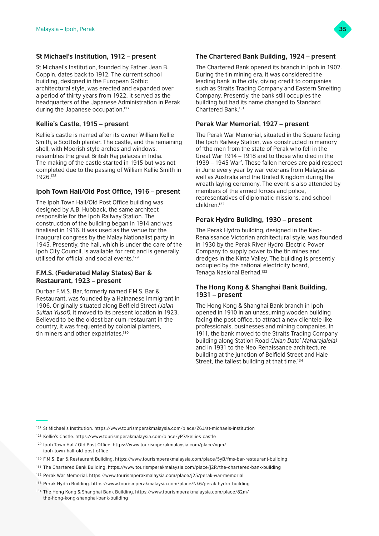

# **St Michael's Institution, 1912 – present**

St Michael's Institution, founded by Father Jean B. Coppin, dates back to 1912. The current school building, designed in the European Gothic architectural style, was erected and expanded over a period of thirty years from 1922. It served as the headquarters of the Japanese Administration in Perak during the Japanese occupation.<sup>127</sup>

# **Kellie's Castle, 1915 – present**

Kellie's castle is named after its owner William Kellie Smith, a Scottish planter. The castle, and the remaining shell, with Moorish style arches and windows, resembles the great British Raj palaces in India. The making of the castle started in 1915 but was not completed due to the passing of William Kellie Smith in 1926.128

# **Ipoh Town Hall/Old Post Office, 1916 – present**

The Ipoh Town Hall/Old Post Office building was designed by A.B. Hubback, the same architect responsible for the Ipoh Railway Station. The construction of the building began in 1914 and was finalised in 1916. It was used as the venue for the inaugural congress by the Malay Nationalist party in 1945. Presently, the hall, which is under the care of the Ipoh City Council, is available for rent and is generally utilised for official and social events.129

# **F.M.S. (Federated Malay States) Bar & Restaurant, 1923 – present**

Durbar F.M.S. Bar, formerly named F.M.S. Bar & Restaurant, was founded by a Hainanese immigrant in 1906. Originally situated along Belfield Street *(Jalan Sultan Yusof)*, it moved to its present location in 1923. Believed to be the oldest bar-cum-restaurant in the country, it was frequented by colonial planters, tin miners and other expatriates.<sup>130</sup>

# **The Chartered Bank Building, 1924 – present**

The Chartered Bank opened its branch in Ipoh in 1902. During the tin mining era, it was considered the leading bank in the city, giving credit to companies such as Straits Trading Company and Eastern Smelting Company. Presently, the bank still occupies the building but had its name changed to Standard Chartered Bank<sup>131</sup>

# **Perak War Memorial, 1927 – present**

The Perak War Memorial, situated in the Square facing the Ipoh Railway Station, was constructed in memory of 'the men from the state of Perak who fell in the Great War 1914 – 1918 and to those who died in the 1939 – 1945 War'. These fallen heroes are paid respect in June every year by war veterans from Malaysia as well as Australia and the United Kingdom during the wreath laying ceremony. The event is also attended by members of the armed forces and police, representatives of diplomatic missions, and school children.132

# **Perak Hydro Building, 1930 – present**

The Perak Hydro building, designed in the Neo-Renaissance Victorian architectural style, was founded in 1930 by the Perak River Hydro-Electric Power Company to supply power to the tin mines and dredges in the Kinta Valley. The building is presently occupied by the national electricity board, Tenaga Nasional Berhad.133

# **The Hong Kong & Shanghai Bank Building, 1931 – present**

The Hong Kong & Shanghai Bank branch in Ipoh opened in 1910 in an unassuming wooden building facing the post office, to attract a new clientele like professionals, businesses and mining companies. In 1911, the bank moved to the Straits Trading Company building along Station Road *(Jalan Dato' Maharajalela)* and in 1931 to the Neo-Renaissance architecture building at the junction of Belfield Street and Hale Street, the tallest building at that time.<sup>134</sup>

- <sup>128</sup> Kellie's Castle. <https://www.tourismperakmalaysia.com/place/yP7/kellies-castle>
- <sup>129</sup> Ipoh Town Hall/ Old Post Office. [https://www.tourismperakmalaysia.com/place/vgm/](https://www.tourismperakmalaysia.com/place/vgm/ipoh-town-hall-old-post-office) [ipoh-town-hall-old-post-office](https://www.tourismperakmalaysia.com/place/vgm/ipoh-town-hall-old-post-office)
- <sup>130</sup> F.M.S. Bar & Restaurant Building. <https://www.tourismperakmalaysia.com/place/5yB/fms-bar-restaurant-building>
- <sup>131</sup> The Chartered Bank Building. <https://www.tourismperakmalaysia.com/place/j2R/the-chartered-bank-building>
- <sup>132</sup> Perak War Memorial.<https://www.tourismperakmalaysia.com/place/j25/perak-war-memorial>
- <sup>133</sup> Perak Hydro Building. <https://www.tourismperakmalaysia.com/place/Nk6/perak-hydro-building>
- <sup>134</sup> The Hong Kong & Shanghai Bank Building. [https://www.tourismperakmalaysia.com/place/82m/](https://www.tourismperakmalaysia.com/place/82m/the-hong-kong-shanghai-bank-building) [the-hong-kong-shanghai-bank-building](https://www.tourismperakmalaysia.com/place/82m/the-hong-kong-shanghai-bank-building)

<sup>127</sup> St Michael's Institution.<https://www.tourismperakmalaysia.com/place/Z6J/st-michaels-institution>